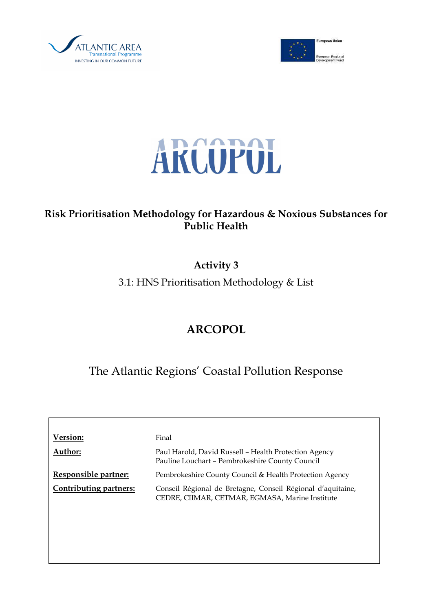





## Risk Prioritisation Methodology for Hazardous & Noxious Substances for Public Health

# Activity 3

3.1: HNS Prioritisation Methodology & List

# ARCOPOL

The Atlantic Regions' Coastal Pollution Response

| Version:                      | Final                                                                                                          |
|-------------------------------|----------------------------------------------------------------------------------------------------------------|
| Author:                       | Paul Harold, David Russell - Health Protection Agency<br>Pauline Louchart - Pembrokeshire County Council       |
| Responsible partner:          | Pembrokeshire County Council & Health Protection Agency                                                        |
| <b>Contributing partners:</b> | Conseil Régional de Bretagne, Conseil Régional d'aquitaine,<br>CEDRE, CIIMAR, CETMAR, EGMASA, Marine Institute |
|                               |                                                                                                                |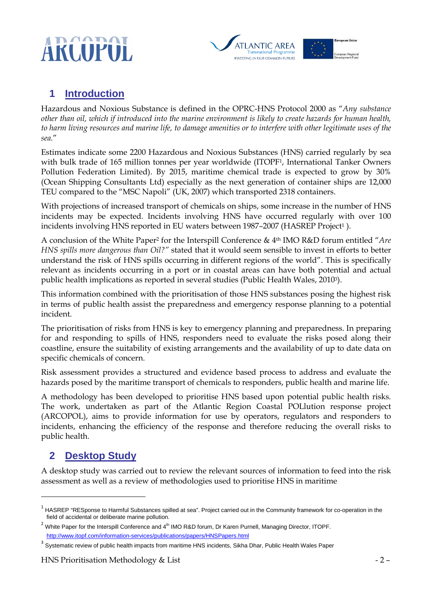



## **1 Introduction**

Hazardous and Noxious Substance is defined in the OPRC-HNS Protocol 2000 as "Any substance other than oil, which if introduced into the marine environment is likely to create hazards for human health, to harm living resources and marine life, to damage amenities or to interfere with other legitimate uses of the sea."

Estimates indicate some 2200 Hazardous and Noxious Substances (HNS) carried regularly by sea with bulk trade of 165 million tonnes per year worldwide (ITOPF1, International Tanker Owners Pollution Federation Limited). By 2015, maritime chemical trade is expected to grow by 30% (Ocean Shipping Consultants Ltd) especially as the next generation of container ships are 12,000 TEU compared to the "MSC Napoli" (UK, 2007) which transported 2318 containers.

With projections of increased transport of chemicals on ships, some increase in the number of HNS incidents may be expected. Incidents involving HNS have occurred regularly with over 100 incidents involving HNS reported in EU waters between 1987–2007 (HASREP Project<sup>1</sup>).

A conclusion of the White Paper2 for the Interspill Conference & 4th IMO R&D forum entitled "Are HNS spills more dangerous than Oil?" stated that it would seem sensible to invest in efforts to better understand the risk of HNS spills occurring in different regions of the world". This is specifically relevant as incidents occurring in a port or in coastal areas can have both potential and actual public health implications as reported in several studies (Public Health Wales, 20103).

This information combined with the prioritisation of those HNS substances posing the highest risk in terms of public health assist the preparedness and emergency response planning to a potential incident.

The prioritisation of risks from HNS is key to emergency planning and preparedness. In preparing for and responding to spills of HNS, responders need to evaluate the risks posed along their coastline, ensure the suitability of existing arrangements and the availability of up to date data on specific chemicals of concern.

Risk assessment provides a structured and evidence based process to address and evaluate the hazards posed by the maritime transport of chemicals to responders, public health and marine life.

A methodology has been developed to prioritise HNS based upon potential public health risks. The work, undertaken as part of the Atlantic Region Coastal POLlution response project (ARCOPOL), aims to provide information for use by operators, regulators and responders to incidents, enhancing the efficiency of the response and therefore reducing the overall risks to public health.

## **2 Desktop Study**

1

A desktop study was carried out to review the relevant sources of information to feed into the risk assessment as well as a review of methodologies used to prioritise HNS in maritime

 $1$  HASREP "RESponse to Harmful Substances spilled at sea". Project carried out in the Community framework for co-operation in the field of accidental or deliberate marine pollution.

 $2$  White Paper for the Interspill Conference and  $4<sup>th</sup>$  IMO R&D forum, Dr Karen Purnell, Managing Director, ITOPF. http://www.itopf.com/information-services/publications/papers/HNSPapers.html

<sup>&</sup>lt;sup>3</sup> Systematic review of public health impacts from maritime HNS incidents, Sikha Dhar, Public Health Wales Paper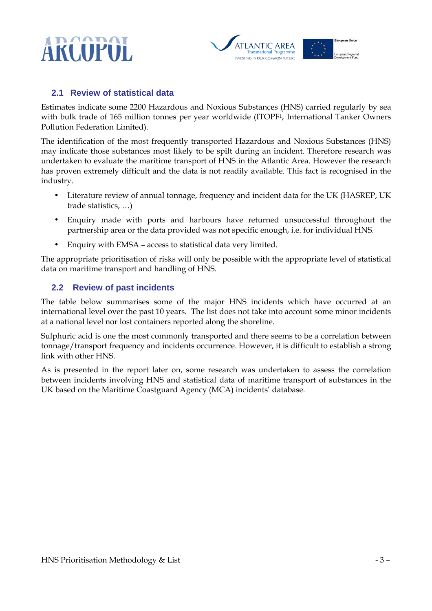



#### **2.1 Review of statistical data**

Estimates indicate some 2200 Hazardous and Noxious Substances (HNS) carried regularly by sea with bulk trade of 165 million tonnes per year worldwide (ITOPF1, International Tanker Owners Pollution Federation Limited).

The identification of the most frequently transported Hazardous and Noxious Substances (HNS) may indicate those substances most likely to be spilt during an incident. Therefore research was undertaken to evaluate the maritime transport of HNS in the Atlantic Area. However the research has proven extremely difficult and the data is not readily available. This fact is recognised in the industry.

- Literature review of annual tonnage, frequency and incident data for the UK (HASREP, UK trade statistics, …)
- Enquiry made with ports and harbours have returned unsuccessful throughout the partnership area or the data provided was not specific enough, i.e. for individual HNS.
- Enquiry with EMSA access to statistical data very limited.

The appropriate prioritisation of risks will only be possible with the appropriate level of statistical data on maritime transport and handling of HNS.

#### **2.2 Review of past incidents**

The table below summarises some of the major HNS incidents which have occurred at an international level over the past 10 years. The list does not take into account some minor incidents at a national level nor lost containers reported along the shoreline.

Sulphuric acid is one the most commonly transported and there seems to be a correlation between tonnage/transport frequency and incidents occurrence. However, it is difficult to establish a strong link with other HNS.

As is presented in the report later on, some research was undertaken to assess the correlation between incidents involving HNS and statistical data of maritime transport of substances in the UK based on the Maritime Coastguard Agency (MCA) incidents' database.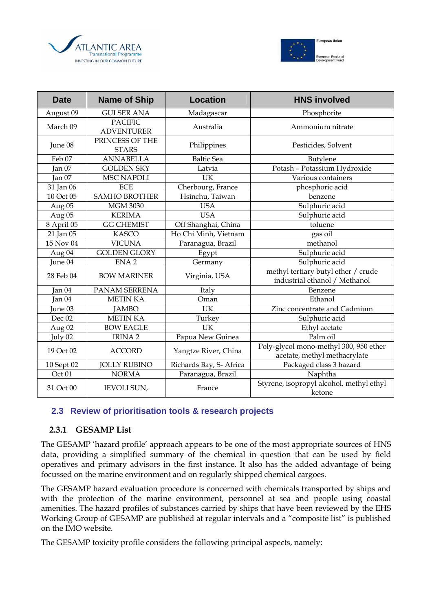



| <b>Date</b>       | <b>Name of Ship</b>                 | <b>Location</b>         | <b>HNS involved</b>                                                    |
|-------------------|-------------------------------------|-------------------------|------------------------------------------------------------------------|
| August 09         | <b>GULSER ANA</b>                   | Madagascar              | Phosphorite                                                            |
| March 09          | <b>PACIFIC</b><br><b>ADVENTURER</b> | Australia               | Ammonium nitrate                                                       |
| June 08           | PRINCESS OF THE<br><b>STARS</b>     | Philippines             | Pesticides, Solvent                                                    |
| Feb 07            | <b>ANNABELLA</b>                    | <b>Baltic Sea</b>       | Butylene                                                               |
| Jan 07            | <b>GOLDEN SKY</b>                   | Latvia                  | Potash - Potassium Hydroxide                                           |
| Jan 07            | <b>MSC NAPOLI</b>                   | UK                      | Various containers                                                     |
| 31 Jan 06         | <b>ECE</b>                          | Cherbourg, France       | phosphoric acid                                                        |
| 10 Oct 05         | <b>SAMHO BROTHER</b>                | Hsinchu, Taiwan         | benzene                                                                |
| Aug 05            | <b>MGM 3030</b>                     | <b>USA</b>              | Sulphuric acid                                                         |
| Aug 05            | <b>KERIMA</b>                       | <b>USA</b>              | Sulphuric acid                                                         |
| 8 April 05        | <b>GG CHEMIST</b>                   | Off Shanghai, China     | toluene                                                                |
| 21 Jan 05         | <b>KASCO</b>                        | Ho Chi Minh, Vietnam    | gas oil                                                                |
| 15 Nov 04         | <b>VICUNA</b>                       | Paranagua, Brazil       | methanol                                                               |
| Aug 04            | <b>GOLDEN GLORY</b>                 | Egypt                   | Sulphuric acid                                                         |
| June 04           | ENA <sub>2</sub>                    | Germany                 | Sulphuric acid                                                         |
| 28 Feb 04         | <b>BOW MARINER</b>                  | Virginia, USA           | methyl tertiary butyl ether / crude<br>industrial ethanol / Methanol   |
| Jan 04            | PANAM SERRENA                       | Italy                   | Benzene                                                                |
| Jan 04            | <b>METIN KA</b>                     | Oman                    | Ethanol                                                                |
| June 03           | <b>JAMBO</b>                        | <b>UK</b>               | Zinc concentrate and Cadmium                                           |
| Dec 02            | <b>METIN KA</b>                     | Turkey                  | Sulphuric acid                                                         |
| Aug 02            | <b>BOW EAGLE</b>                    | UK                      | Ethyl acetate                                                          |
| July 02           | <b>IRINA2</b>                       | Papua New Guinea        | Palm oil                                                               |
| 19 Oct 02         | <b>ACCORD</b>                       | Yangtze River, China    | Poly-glycol mono-methyl 300, 950 ether<br>acetate, methyl methacrylate |
| 10 Sept 02        | <b>JOLLY RUBINO</b>                 | Richards Bay, S- Africa | Packaged class 3 hazard                                                |
| Oct <sub>01</sub> | <b>NORMA</b>                        | Paranagua, Brazil       | Naphtha                                                                |
| 31 Oct 00         | IEVOLI SUN,                         | France                  | Styrene, isopropyl alcohol, methyl ethyl<br>ketone                     |

#### **2.3 Review of prioritisation tools & research projects**

#### 2.3.1 GESAMP List

The GESAMP 'hazard profile' approach appears to be one of the most appropriate sources of HNS data, providing a simplified summary of the chemical in question that can be used by field operatives and primary advisors in the first instance. It also has the added advantage of being focussed on the marine environment and on regularly shipped chemical cargoes.

The GESAMP hazard evaluation procedure is concerned with chemicals transported by ships and with the protection of the marine environment, personnel at sea and people using coastal amenities. The hazard profiles of substances carried by ships that have been reviewed by the EHS Working Group of GESAMP are published at regular intervals and a "composite list" is published on the IMO website.

The GESAMP toxicity profile considers the following principal aspects, namely: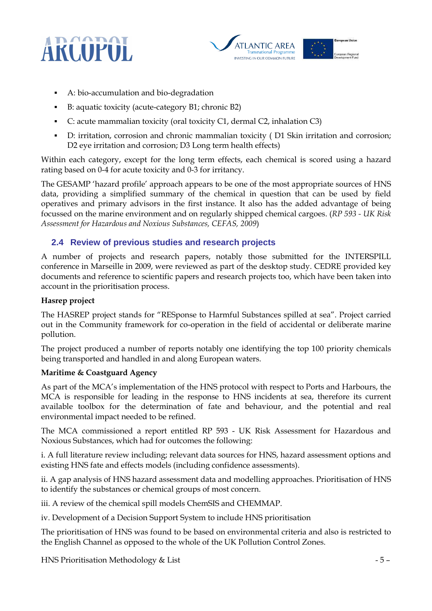



- A: bio-accumulation and bio-degradation
- B: aquatic toxicity (acute-category B1; chronic B2)
- C: acute mammalian toxicity (oral toxicity C1, dermal C2, inhalation C3)
- D: irritation, corrosion and chronic mammalian toxicity ( D1 Skin irritation and corrosion; D2 eye irritation and corrosion; D3 Long term health effects)

Within each category, except for the long term effects, each chemical is scored using a hazard rating based on 0-4 for acute toxicity and 0-3 for irritancy.

The GESAMP 'hazard profile' approach appears to be one of the most appropriate sources of HNS data, providing a simplified summary of the chemical in question that can be used by field operatives and primary advisors in the first instance. It also has the added advantage of being focussed on the marine environment and on regularly shipped chemical cargoes. (RP 593 - UK Risk Assessment for Hazardous and Noxious Substances, CEFAS, 2009)

#### **2.4 Review of previous studies and research projects**

A number of projects and research papers, notably those submitted for the INTERSPILL conference in Marseille in 2009, were reviewed as part of the desktop study. CEDRE provided key documents and reference to scientific papers and research projects too, which have been taken into account in the prioritisation process.

#### Hasrep project

The HASREP project stands for "RESponse to Harmful Substances spilled at sea". Project carried out in the Community framework for co-operation in the field of accidental or deliberate marine pollution.

The project produced a number of reports notably one identifying the top 100 priority chemicals being transported and handled in and along European waters.

#### Maritime & Coastguard Agency

As part of the MCA's implementation of the HNS protocol with respect to Ports and Harbours, the MCA is responsible for leading in the response to HNS incidents at sea, therefore its current available toolbox for the determination of fate and behaviour, and the potential and real environmental impact needed to be refined.

The MCA commissioned a report entitled RP 593 - UK Risk Assessment for Hazardous and Noxious Substances, which had for outcomes the following:

i. A full literature review including; relevant data sources for HNS, hazard assessment options and existing HNS fate and effects models (including confidence assessments).

ii. A gap analysis of HNS hazard assessment data and modelling approaches. Prioritisation of HNS to identify the substances or chemical groups of most concern.

iii. A review of the chemical spill models ChemSIS and CHEMMAP.

iv. Development of a Decision Support System to include HNS prioritisation

The prioritisation of HNS was found to be based on environmental criteria and also is restricted to the English Channel as opposed to the whole of the UK Pollution Control Zones.

HNS Prioritisation Methodology & List  $-5-$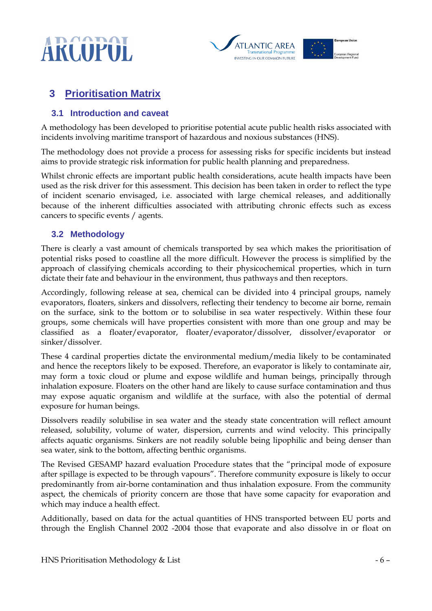



## **3 Prioritisation Matrix**

#### **3.1 Introduction and caveat**

A methodology has been developed to prioritise potential acute public health risks associated with incidents involving maritime transport of hazardous and noxious substances (HNS).

The methodology does not provide a process for assessing risks for specific incidents but instead aims to provide strategic risk information for public health planning and preparedness.

Whilst chronic effects are important public health considerations, acute health impacts have been used as the risk driver for this assessment. This decision has been taken in order to reflect the type of incident scenario envisaged, i.e. associated with large chemical releases, and additionally because of the inherent difficulties associated with attributing chronic effects such as excess cancers to specific events / agents.

#### **3.2 Methodology**

There is clearly a vast amount of chemicals transported by sea which makes the prioritisation of potential risks posed to coastline all the more difficult. However the process is simplified by the approach of classifying chemicals according to their physicochemical properties, which in turn dictate their fate and behaviour in the environment, thus pathways and then receptors.

Accordingly, following release at sea, chemical can be divided into 4 principal groups, namely evaporators, floaters, sinkers and dissolvers, reflecting their tendency to become air borne, remain on the surface, sink to the bottom or to solubilise in sea water respectively. Within these four groups, some chemicals will have properties consistent with more than one group and may be classified as a floater/evaporator, floater/evaporator/dissolver, dissolver/evaporator or sinker/dissolver.

These 4 cardinal properties dictate the environmental medium/media likely to be contaminated and hence the receptors likely to be exposed. Therefore, an evaporator is likely to contaminate air, may form a toxic cloud or plume and expose wildlife and human beings, principally through inhalation exposure. Floaters on the other hand are likely to cause surface contamination and thus may expose aquatic organism and wildlife at the surface, with also the potential of dermal exposure for human beings.

Dissolvers readily solubilise in sea water and the steady state concentration will reflect amount released, solubility, volume of water, dispersion, currents and wind velocity. This principally affects aquatic organisms. Sinkers are not readily soluble being lipophilic and being denser than sea water, sink to the bottom, affecting benthic organisms.

The Revised GESAMP hazard evaluation Procedure states that the "principal mode of exposure after spillage is expected to be through vapours". Therefore community exposure is likely to occur predominantly from air-borne contamination and thus inhalation exposure. From the community aspect, the chemicals of priority concern are those that have some capacity for evaporation and which may induce a health effect.

Additionally, based on data for the actual quantities of HNS transported between EU ports and through the English Channel 2002 -2004 those that evaporate and also dissolve in or float on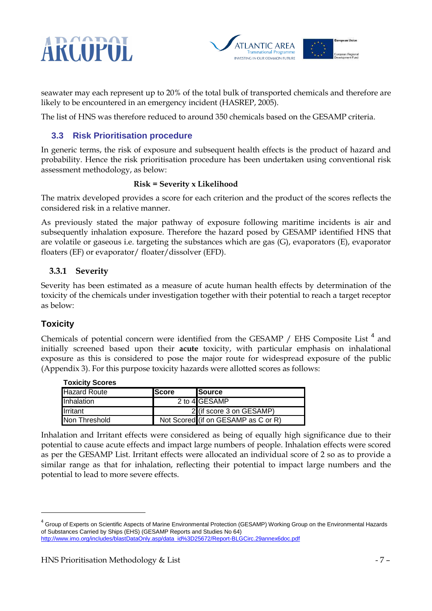# ARCOPOL



seawater may each represent up to 20% of the total bulk of transported chemicals and therefore are likely to be encountered in an emergency incident (HASREP, 2005).

The list of HNS was therefore reduced to around 350 chemicals based on the GESAMP criteria.

#### **3.3 Risk Prioritisation procedure**

In generic terms, the risk of exposure and subsequent health effects is the product of hazard and probability. Hence the risk prioritisation procedure has been undertaken using conventional risk assessment methodology, as below:

#### Risk = Severity x Likelihood

The matrix developed provides a score for each criterion and the product of the scores reflects the considered risk in a relative manner.

As previously stated the major pathway of exposure following maritime incidents is air and subsequently inhalation exposure. Therefore the hazard posed by GESAMP identified HNS that are volatile or gaseous i.e. targeting the substances which are gas (G), evaporators (E), evaporator floaters (EF) or evaporator/ floater/dissolver (EFD).

#### 3.3.1 Severity

Severity has been estimated as a measure of acute human health effects by determination of the toxicity of the chemicals under investigation together with their potential to reach a target receptor as below:

#### **Toxicity**

1

Chemicals of potential concern were identified from the GESAMP / EHS Composite List<sup>4</sup> and initially screened based upon their acute toxicity, with particular emphasis on inhalational exposure as this is considered to pose the major route for widespread exposure of the public (Appendix 3). For this purpose toxicity hazards were allotted scores as follows:

| <b>TOXICILY SCOTES</b> |               |                                     |
|------------------------|---------------|-------------------------------------|
| Hazard Route           | <b>IScore</b> | <b>ISource</b>                      |
| Inhalation             |               | 2 to 4 GESAMP                       |
| Irritant               |               | 2 (if score 3 on GESAMP)            |
| Non Threshold          |               | Not Scored (if on GESAMP as C or R) |

**Toxicity Scores**

Inhalation and Irritant effects were considered as being of equally high significance due to their potential to cause acute effects and impact large numbers of people. Inhalation effects were scored as per the GESAMP List. Irritant effects were allocated an individual score of 2 so as to provide a similar range as that for inhalation, reflecting their potential to impact large numbers and the potential to lead to more severe effects.

<sup>&</sup>lt;sup>4</sup> Group of Experts on Scientific Aspects of Marine Environmental Protection (GESAMP) Working Group on the Environmental Hazards of Substances Carried by Ships (EHS) (GESAMP Reports and Studies No 64) http://www.imo.org/includes/blastDataOnly.asp/data\_id%3D25672/Report-BLGCirc.29annex6doc.pdf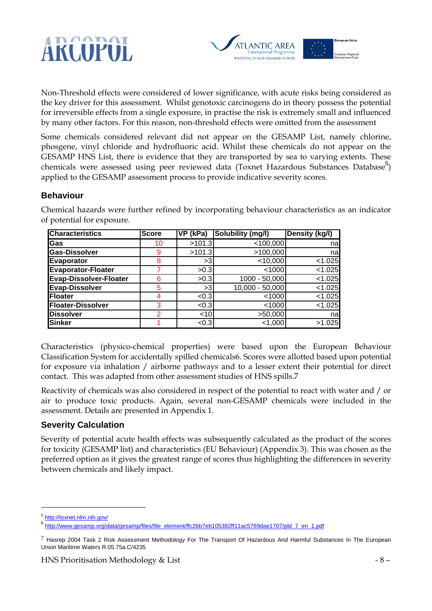



Non-Threshold effects were considered of lower significance, with acute risks being considered as the key driver for this assessment. Whilst genotoxic carcinogens do in theory possess the potential for irreversible effects from a single exposure, in practise the risk is extremely small and influenced by many other factors. For this reason, non-threshold effects were omitted from the assessment

Some chemicals considered relevant did not appear on the GESAMP List, namely chlorine, phosgene, vinyl chloride and hydrofluoric acid. Whilst these chemicals do not appear on the GESAMP HNS List, there is evidence that they are transported by sea to varying extents. These chemicals were assessed using peer reviewed data (Toxnet Hazardous Substances Database<sup>5</sup>) applied to the GESAMP assessment process to provide indicative severity scores.

#### **Behaviour**

| <b>Characteristics</b>        | <b>Score</b>  | VP (kPa) | Solubility (mg/l) | Density (kg/l) |
|-------------------------------|---------------|----------|-------------------|----------------|
| Gas                           | 10            | >101.3   | < 100,000         | nal            |
| <b>Gas-Dissolver</b>          | 9             | >101.3   | >100,000          | nal            |
| Evaporator                    | 8             | >3       | $<$ 10,000        | $<$ 1.025      |
| Evaporator-Floater            |               | >0.3     | $<$ 1000          | < 1.025        |
| <b>Evap-Dissolver-Floater</b> | 6             | >0.3     | 1000 - 50,000     | < 1.025        |
| <b>Evap-Dissolver</b>         | 5             | >3       | 10,000 - 50,000   | < 1.025        |
| Floater                       | 4             | < 0.3    | < 1000            | < 1.025        |
| <b>Floater-Dissolver</b>      | 3             | < 0.3    | $<$ 1000          | < 1.025        |
| <b>Dissolver</b>              | $\mathcal{P}$ | $<$ 10   | >50,000           | na             |
| <b>Sinker</b>                 |               | < 0.3    | 1,000             | >1.025         |

Chemical hazards were further refined by incorporating behaviour characteristics as an indicator of potential for exposure.

Characteristics (physico-chemical properties) were based upon the European Behaviour Classification System for accidentally spilled chemicals6. Scores were allotted based upon potential for exposure via inhalation / airborne pathways and to a lesser extent their potential for direct contact. This was adapted from other assessment studies of HNS spills.7

Reactivity of chemicals was also considered in respect of the potential to react with water and / or air to produce toxic products. Again, several non-GESAMP chemicals were included in the assessment. Details are presented in Appendix 1.

#### **Severity Calculation**

Severity of potential acute health effects was subsequently calculated as the product of the scores for toxicity (GESAMP list) and characteristics (EU Behaviour) (Appendix 3). This was chosen as the preferred option as it gives the greatest range of scores thus highlighting the differences in severity between chemicals and likely impact.

 $\overline{a}$ 

<sup>&</sup>lt;sup>5</sup> http://toxnet.nlm.nih.gov/

<sup>6&</sup>lt;br>http://www.gesamp.org/data/gesamp/files/file\_element/ffc2bb7eb105382ff11ac5769dae1707/pbl\_7\_en\_1.pdf

 $7$  Hasrep 2004 Task 2 Risk Assessment Methodology For The Transport Of Hazardous And Harmful Substances In The European Union Maritime Waters R.05.75a.C/4235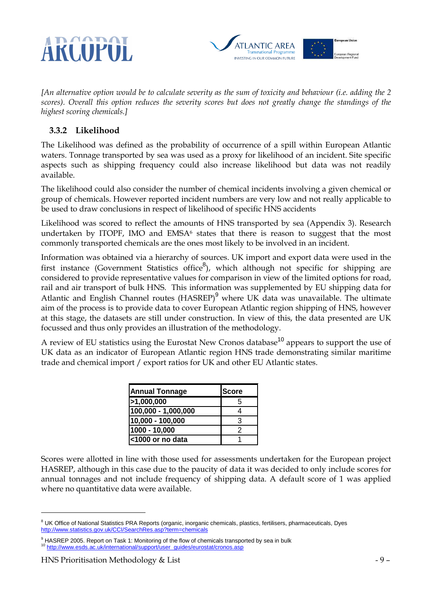



[An alternative option would be to calculate severity as the sum of toxicity and behaviour (i.e. adding the 2 scores). Overall this option reduces the severity scores but does not greatly change the standings of the highest scoring chemicals.]

#### 3.3.2 Likelihood

The Likelihood was defined as the probability of occurrence of a spill within European Atlantic waters. Tonnage transported by sea was used as a proxy for likelihood of an incident. Site specific aspects such as shipping frequency could also increase likelihood but data was not readily available.

The likelihood could also consider the number of chemical incidents involving a given chemical or group of chemicals. However reported incident numbers are very low and not really applicable to be used to draw conclusions in respect of likelihood of specific HNS accidents

Likelihood was scored to reflect the amounts of HNS transported by sea (Appendix 3). Research undertaken by ITOPF, IMO and EMSA<sup>6</sup> states that there is reason to suggest that the most commonly transported chemicals are the ones most likely to be involved in an incident.

Information was obtained via a hierarchy of sources. UK import and export data were used in the first instance (Government Statistics office<sup>8</sup>), which although not specific for shipping are considered to provide representative values for comparison in view of the limited options for road, rail and air transport of bulk HNS. This information was supplemented by EU shipping data for Atlantic and English Channel routes (HASREP)<sup>9</sup> where UK data was unavailable. The ultimate aim of the process is to provide data to cover European Atlantic region shipping of HNS, however at this stage, the datasets are still under construction. In view of this, the data presented are UK focussed and thus only provides an illustration of the methodology.

A review of EU statistics using the Eurostat New Cronos database<sup>10</sup> appears to support the use of UK data as an indicator of European Atlantic region HNS trade demonstrating similar maritime trade and chemical import / export ratios for UK and other EU Atlantic states.

| <b>Annual Tonnage</b> | <b>Score</b> |
|-----------------------|--------------|
| >1,000,000            | 5            |
| 100,000 - 1,000,000   |              |
| 10,000 - 100,000      | 3            |
| 1000 - 10,000         | 2            |
| <1000 or no data      |              |

Scores were allotted in line with those used for assessments undertaken for the European project HASREP, although in this case due to the paucity of data it was decided to only include scores for annual tonnages and not include frequency of shipping data. A default score of 1 was applied where no quantitative data were available.

1

<sup>&</sup>lt;sup>8</sup> UK Office of National Statistics PRA Reports (organic, inorganic chemicals, plastics, fertilisers, pharmaceuticals, Dyes http://www.statistics.gov.uk/CCI/SearchRes.asp?term=chemicals

<sup>&</sup>lt;sup>9</sup> HASREP 2005. Report on Task 1: Monitoring of the flow of chemicals transported by sea in bulk <sup>10</sup> http://www.esds.ac.uk/international/support/user\_guides/eurostat/cronos.asp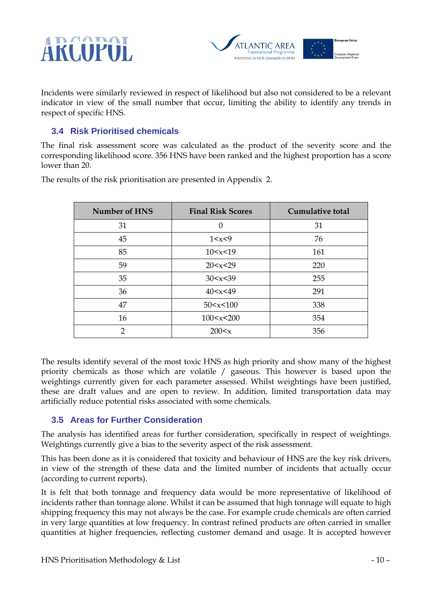



Incidents were similarly reviewed in respect of likelihood but also not considered to be a relevant indicator in view of the small number that occur, limiting the ability to identify any trends in respect of specific HNS.

#### **3.4 Risk Prioritised chemicals**

The final risk assessment score was calculated as the product of the severity score and the corresponding likelihood score. 356 HNS have been ranked and the highest proportion has a score lower than 20.

| Number of HNS | <b>Final Risk Scores</b> | <b>Cumulative total</b> |
|---------------|--------------------------|-------------------------|
| 31            | $\Omega$                 | 31                      |
| 45            | 1 < x < 9                | 76                      |
| 85            | 10 < x < 19              | 161                     |
| 59            | 20 < x < 29              | 220                     |
| 35            | 30 < x < 39              | 255                     |
| 36            | 40 < x < 49              | 291                     |
| 47            | 50 < x < 100             | 338                     |
| 16            | 100 < x < 200            | 354                     |
| 2             | 200 < x                  | 356                     |

The results of the risk prioritisation are presented in Appendix 2.

The results identify several of the most toxic HNS as high priority and show many of the highest priority chemicals as those which are volatile / gaseous. This however is based upon the weightings currently given for each parameter assessed. Whilst weightings have been justified, these are draft values and are open to review. In addition, limited transportation data may artificially reduce potential risks associated with some chemicals.

#### **3.5 Areas for Further Consideration**

The analysis has identified areas for further consideration, specifically in respect of weightings. Weightings currently give a bias to the severity aspect of the risk assessment.

This has been done as it is considered that toxicity and behaviour of HNS are the key risk drivers, in view of the strength of these data and the limited number of incidents that actually occur (according to current reports).

It is felt that both tonnage and frequency data would be more representative of likelihood of incidents rather than tonnage alone. Whilst it can be assumed that high tonnage will equate to high shipping frequency this may not always be the case. For example crude chemicals are often carried in very large quantities at low frequency. In contrast refined products are often carried in smaller quantities at higher frequencies, reflecting customer demand and usage. It is accepted however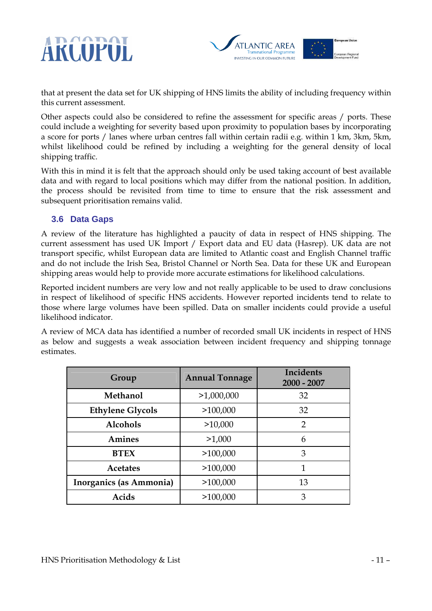



that at present the data set for UK shipping of HNS limits the ability of including frequency within this current assessment.

Other aspects could also be considered to refine the assessment for specific areas / ports. These could include a weighting for severity based upon proximity to population bases by incorporating a score for ports / lanes where urban centres fall within certain radii e.g. within 1 km, 3km, 5km, whilst likelihood could be refined by including a weighting for the general density of local shipping traffic.

With this in mind it is felt that the approach should only be used taking account of best available data and with regard to local positions which may differ from the national position. In addition, the process should be revisited from time to time to ensure that the risk assessment and subsequent prioritisation remains valid.

#### **3.6 Data Gaps**

A review of the literature has highlighted a paucity of data in respect of HNS shipping. The current assessment has used UK Import / Export data and EU data (Hasrep). UK data are not transport specific, whilst European data are limited to Atlantic coast and English Channel traffic and do not include the Irish Sea, Bristol Channel or North Sea. Data for these UK and European shipping areas would help to provide more accurate estimations for likelihood calculations.

Reported incident numbers are very low and not really applicable to be used to draw conclusions in respect of likelihood of specific HNS accidents. However reported incidents tend to relate to those where large volumes have been spilled. Data on smaller incidents could provide a useful likelihood indicator.

A review of MCA data has identified a number of recorded small UK incidents in respect of HNS as below and suggests a weak association between incident frequency and shipping tonnage estimates.

| Group                   | <b>Annual Tonnage</b> | <b>Incidents</b><br>$2000 - 2007$ |
|-------------------------|-----------------------|-----------------------------------|
| Methanol                | >1,000,000            | 32                                |
| <b>Ethylene Glycols</b> | >100,000              | 32                                |
| <b>Alcohols</b>         | >10,000               | $\overline{2}$                    |
| Amines                  | >1,000                | 6                                 |
| <b>BTEX</b>             | >100,000              | 3                                 |
| <b>Acetates</b>         | >100,000              | 1                                 |
| Inorganics (as Ammonia) | >100,000              | 13                                |
| Acids                   | >100,000              | 3                                 |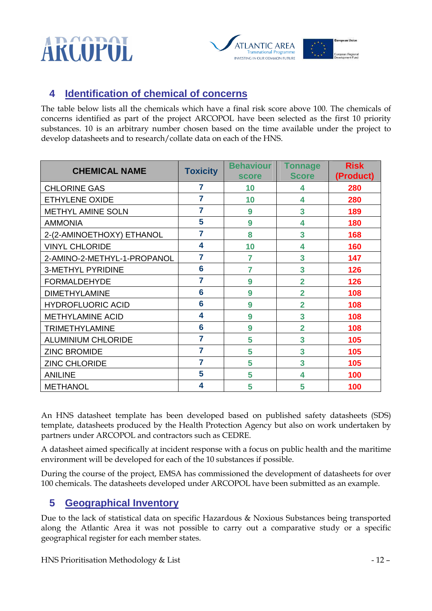# ARCOPOL



## **4 Identification of chemical of concerns**

The table below lists all the chemicals which have a final risk score above 100. The chemicals of concerns identified as part of the project ARCOPOL have been selected as the first 10 priority substances. 10 is an arbitrary number chosen based on the time available under the project to develop datasheets and to research/collate data on each of the HNS.

| <b>CHEMICAL NAME</b>        | <b>Toxicity</b> | <b>Behaviour</b> | Tonnage        | <b>Risk</b> |
|-----------------------------|-----------------|------------------|----------------|-------------|
|                             |                 | <b>score</b>     | <b>Score</b>   | (Product)   |
| <b>CHLORINE GAS</b>         | 7               | 10               | 4              | 280         |
| <b>ETHYLENE OXIDE</b>       | 7               | 10               | 4              | 280         |
| <b>METHYL AMINE SOLN</b>    | 7               | 9                | 3              | 189         |
| <b>AMMONIA</b>              | 5               | 9                | 4              | 180         |
| 2-(2-AMINOETHOXY) ETHANOL   | 7               | 8                | 3              | 168         |
| <b>VINYL CHLORIDE</b>       | 4               | 10               | 4              | 160         |
| 2-AMINO-2-METHYL-1-PROPANOL | 7               | 7                | 3              | 147         |
| <b>3-METHYL PYRIDINE</b>    | 6               | 7                | 3              | 126         |
| <b>FORMALDEHYDE</b>         | 7               | 9                | $\overline{2}$ | 126         |
| <b>DIMETHYLAMINE</b>        | 6               | 9                | $\overline{2}$ | 108         |
| <b>HYDROFLUORIC ACID</b>    | 6               | 9                | $\overline{2}$ | 108         |
| <b>METHYLAMINE ACID</b>     | 4               | 9                | 3              | 108         |
| <b>TRIMETHYLAMINE</b>       | 6               | 9                | $\overline{2}$ | 108         |
| <b>ALUMINIUM CHLORIDE</b>   | 7               | 5                | 3              | 105         |
| <b>ZINC BROMIDE</b>         | 7               | 5                | 3              | 105         |
| <b>ZINC CHLORIDE</b>        | 7               | 5                | 3              | 105         |
| <b>ANILINE</b>              | 5               | 5                | 4              | 100         |
| <b>METHANOL</b>             | 4               | 5                | 5              | 100         |

An HNS datasheet template has been developed based on published safety datasheets (SDS) template, datasheets produced by the Health Protection Agency but also on work undertaken by partners under ARCOPOL and contractors such as CEDRE.

A datasheet aimed specifically at incident response with a focus on public health and the maritime environment will be developed for each of the 10 substances if possible.

During the course of the project, EMSA has commissioned the development of datasheets for over 100 chemicals. The datasheets developed under ARCOPOL have been submitted as an example.

## **5 Geographical Inventory**

Due to the lack of statistical data on specific Hazardous & Noxious Substances being transported along the Atlantic Area it was not possible to carry out a comparative study or a specific geographical register for each member states.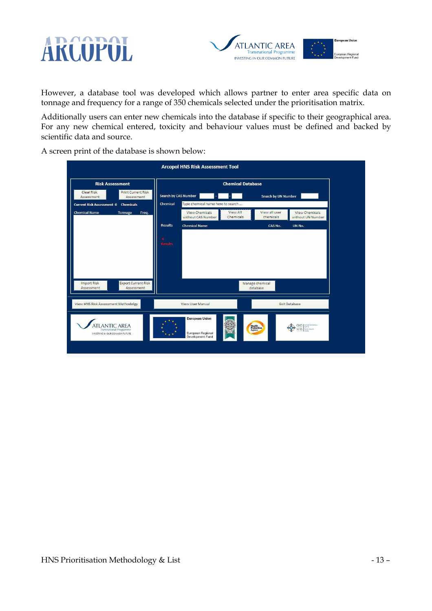



However, a database tool was developed which allows partner to enter area specific data on tonnage and frequency for a range of 350 chemicals selected under the prioritisation matrix.

Additionally users can enter new chemicals into the database if specific to their geographical area. For any new chemical entered, toxicity and behaviour values must be defined and backed by scientific data and source.

A screen print of the database is shown below:

| <b>Arcopol HNS Risk Assessment Tool</b>                                         |                                               |                                                     |                                          |  |  |  |
|---------------------------------------------------------------------------------|-----------------------------------------------|-----------------------------------------------------|------------------------------------------|--|--|--|
| <b>Risk Assessment</b>                                                          |                                               | <b>Chemical Database</b>                            |                                          |  |  |  |
| Clear Risk<br><b>Print Current Risk</b><br>Assessment<br>Assessment             | Search by CAS Number                          | Search by UN Number                                 |                                          |  |  |  |
| <b>Current Risk Assessment 0 Chemicals</b>                                      | Type chemical name here to search<br>Chemical |                                                     |                                          |  |  |  |
| <b>Chemical Name</b><br>Tonnage<br>Freq.                                        | <b>View Chemicals</b><br>without CAS Number   | View all user<br>View All<br>Chemicals<br>chemicals | View Chemicals<br>without UN Number      |  |  |  |
|                                                                                 | <b>Results</b><br><b>Chemical Name</b>        | CAS No.                                             | UN No.                                   |  |  |  |
|                                                                                 | <b>Results</b>                                |                                                     |                                          |  |  |  |
|                                                                                 |                                               |                                                     |                                          |  |  |  |
|                                                                                 |                                               |                                                     |                                          |  |  |  |
| <b>Export Current Risk</b><br>Import Risk<br>Assessment<br>Assessment           |                                               | Manage chemical<br>database                         |                                          |  |  |  |
|                                                                                 |                                               |                                                     |                                          |  |  |  |
| <b>View HNS Risk Assessment Methodolgy</b>                                      | <b>View User Manual</b>                       | <b>Exit Database</b>                                |                                          |  |  |  |
|                                                                                 | <b>European Union</b>                         |                                                     |                                          |  |  |  |
| <b>LANTIC AREA</b><br>Transnational Programme<br>INVESTING IN OUR COMMON FUTURE | European Regional                             | Health<br>Protection<br>଼ତ<br>ところ                   | GIG   leityd Cytosidan<br>Fultilic Houth |  |  |  |
|                                                                                 | Development Fund                              |                                                     |                                          |  |  |  |
|                                                                                 |                                               |                                                     |                                          |  |  |  |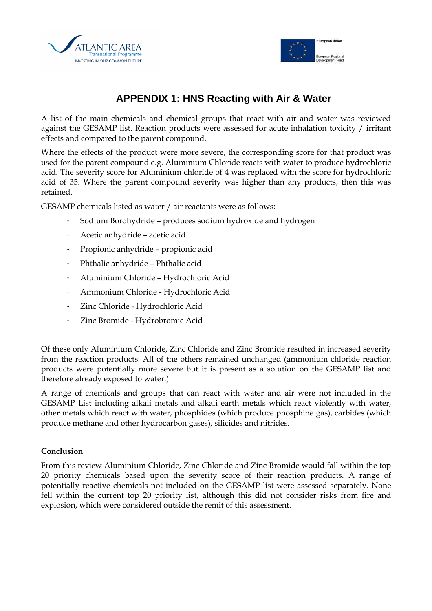



## **APPENDIX 1: HNS Reacting with Air & Water**

A list of the main chemicals and chemical groups that react with air and water was reviewed against the GESAMP list. Reaction products were assessed for acute inhalation toxicity / irritant effects and compared to the parent compound.

Where the effects of the product were more severe, the corresponding score for that product was used for the parent compound e.g. Aluminium Chloride reacts with water to produce hydrochloric acid. The severity score for Aluminium chloride of 4 was replaced with the score for hydrochloric acid of 35. Where the parent compound severity was higher than any products, then this was retained.

GESAMP chemicals listed as water / air reactants were as follows:

- Sodium Borohydride produces sodium hydroxide and hydrogen
- Acetic anhydride acetic acid
- Propionic anhydride propionic acid
- Phthalic anhydride Phthalic acid
- Aluminium Chloride Hydrochloric Acid
- Ammonium Chloride Hydrochloric Acid
- Zinc Chloride Hydrochloric Acid
- Zinc Bromide Hydrobromic Acid

Of these only Aluminium Chloride, Zinc Chloride and Zinc Bromide resulted in increased severity from the reaction products. All of the others remained unchanged (ammonium chloride reaction products were potentially more severe but it is present as a solution on the GESAMP list and therefore already exposed to water.)

A range of chemicals and groups that can react with water and air were not included in the GESAMP List including alkali metals and alkali earth metals which react violently with water, other metals which react with water, phosphides (which produce phosphine gas), carbides (which produce methane and other hydrocarbon gases), silicides and nitrides.

#### Conclusion

From this review Aluminium Chloride, Zinc Chloride and Zinc Bromide would fall within the top 20 priority chemicals based upon the severity score of their reaction products. A range of potentially reactive chemicals not included on the GESAMP list were assessed separately. None fell within the current top 20 priority list, although this did not consider risks from fire and explosion, which were considered outside the remit of this assessment.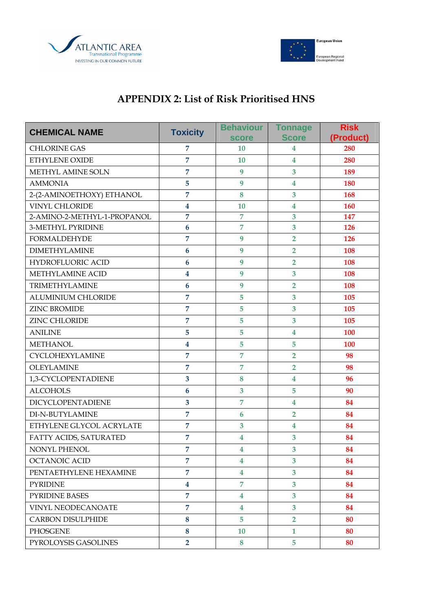



## APPENDIX 2: List of Risk Prioritised HNS

| <b>CHEMICAL NAME</b>        | <b>Toxicity</b>         | <b>Behaviour</b><br><b>score</b> | <b>Tonnage</b><br><b>Score</b> | <b>Risk</b><br>(Product) |
|-----------------------------|-------------------------|----------------------------------|--------------------------------|--------------------------|
| <b>CHLORINE GAS</b>         | 7                       | <b>10</b>                        | $\overline{\mathbf{4}}$        | 280                      |
| <b>ETHYLENE OXIDE</b>       | $\overline{7}$          | 10                               | $\overline{\mathbf{4}}$        | 280                      |
| METHYL AMINE SOLN           | $\overline{7}$          | 9                                | 3                              | 189                      |
| <b>AMMONIA</b>              | 5                       | 9                                | $\overline{\mathbf{4}}$        | 180                      |
| 2-(2-AMINOETHOXY) ETHANOL   | $\overline{7}$          | 8                                | 3                              | 168                      |
| <b>VINYL CHLORIDE</b>       | $\overline{\mathbf{4}}$ | 10                               | $\overline{\mathbf{4}}$        | 160                      |
| 2-AMINO-2-METHYL-1-PROPANOL | $\overline{7}$          | $\overline{7}$                   | 3                              | 147                      |
| 3-METHYL PYRIDINE           | $6\phantom{1}6$         | $\overline{7}$                   | 3                              | <b>126</b>               |
| <b>FORMALDEHYDE</b>         | $\overline{7}$          | 9                                | $\overline{2}$                 | 126                      |
| <b>DIMETHYLAMINE</b>        | 6                       | 9                                | $\overline{2}$                 | 108                      |
| <b>HYDROFLUORIC ACID</b>    | $6\phantom{1}6$         | 9                                | $\overline{2}$                 | 108                      |
| METHYLAMINE ACID            | $\overline{\mathbf{4}}$ | 9                                | 3                              | 108                      |
| TRIMETHYLAMINE              | 6                       | 9                                | $\overline{2}$                 | 108                      |
| <b>ALUMINIUM CHLORIDE</b>   | $\overline{7}$          | 5                                | 3                              | 105                      |
| <b>ZINC BROMIDE</b>         | $\overline{7}$          | 5                                | 3                              | 105                      |
| ZINC CHLORIDE               | $\overline{7}$          | 5                                | 3                              | 105                      |
| <b>ANILINE</b>              | 5                       | 5                                | $\overline{\mathbf{4}}$        | 100                      |
| <b>METHANOL</b>             | $\overline{\mathbf{4}}$ | 5                                | 5                              | 100                      |
| CYCLOHEXYLAMINE             | $\overline{7}$          | $\overline{7}$                   | $\overline{2}$                 | 98                       |
| <b>OLEYLAMINE</b>           | $\overline{7}$          | $\overline{7}$                   | $\overline{2}$                 | 98                       |
| 1,3-CYCLOPENTADIENE         | $\overline{\mathbf{3}}$ | 8                                | $\overline{\mathbf{4}}$        | 96                       |
| <b>ALCOHOLS</b>             | $6\phantom{1}6$         | 3                                | 5                              | 90                       |
| <b>DICYCLOPENTADIENE</b>    | $\overline{\mathbf{3}}$ | $\overline{7}$                   | $\overline{\mathbf{4}}$        | 84                       |
| DI-N-BUTYLAMINE             | $\overline{7}$          | 6                                | $\overline{2}$                 | 84                       |
| ETHYLENE GLYCOL ACRYLATE    | $\overline{7}$          | 3                                | $\overline{\mathbf{4}}$        | 84                       |
| FATTY ACIDS, SATURATED      | $\overline{7}$          | $\overline{\mathbf{4}}$          | 3                              | 84                       |
| NONYL PHENOL                | 7                       | 4                                | 3                              | 84                       |
| <b>OCTANOIC ACID</b>        | $\overline{7}$          | $\overline{\mathbf{4}}$          | $\overline{\mathbf{3}}$        | 84                       |
| PENTAETHYLENE HEXAMINE      | $\overline{7}$          | $\overline{\mathbf{4}}$          | $\overline{\mathbf{3}}$        | 84                       |
| <b>PYRIDINE</b>             | $\boldsymbol{4}$        | $\overline{7}$                   | $\overline{\mathbf{3}}$        | 84                       |
| <b>PYRIDINE BASES</b>       | $\overline{7}$          | 4                                | $\overline{3}$                 | 84                       |
| VINYL NEODECANOATE          | $\overline{7}$          | 4                                | $\overline{\mathbf{3}}$        | 84                       |
| <b>CARBON DISULPHIDE</b>    | 8                       | 5 <sup>5</sup>                   | $\overline{2}$                 | 80                       |
| <b>PHOSGENE</b>             | 8                       | 10                               | $\mathbf{1}$                   | 80                       |
| PYROLOYSIS GASOLINES        | $\overline{2}$          | 8                                | 5                              | 80                       |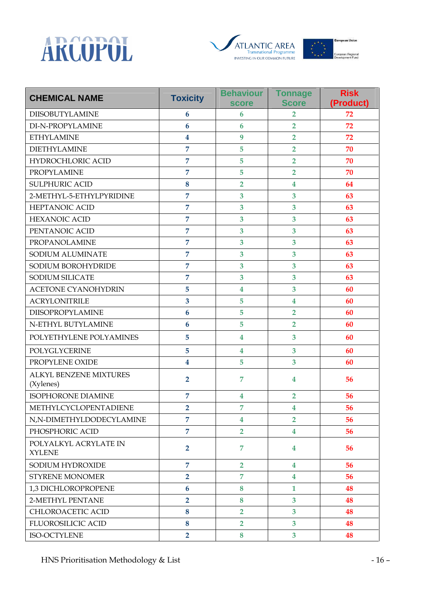





| <b>CHEMICAL NAME</b>                       | <b>Toxicity</b>         | <b>Behaviour</b><br><b>score</b> | <b>Tonnage</b><br><b>Score</b> | <b>Risk</b><br>(Product) |
|--------------------------------------------|-------------------------|----------------------------------|--------------------------------|--------------------------|
| <b>DIISOBUTYLAMINE</b>                     | 6                       | 6                                | $\overline{2}$                 | 72                       |
| DI-N-PROPYLAMINE                           | 6                       | 6                                | $\overline{2}$                 | 72                       |
| <b>ETHYLAMINE</b>                          | 4                       | 9                                | $\overline{2}$                 | 72                       |
| <b>DIETHYLAMINE</b>                        | $\overline{7}$          | 5                                | $\overline{2}$                 | 70                       |
| HYDROCHLORIC ACID                          | 7                       | 5                                | $\overline{2}$                 | 70                       |
| <b>PROPYLAMINE</b>                         | $\overline{7}$          | 5                                | $\overline{2}$                 | 70                       |
| <b>SULPHURIC ACID</b>                      | 8                       | $\overline{2}$                   | $\overline{\mathbf{4}}$        | 64                       |
| 2-METHYL-5-ETHYLPYRIDINE                   | 7                       | $\overline{\mathbf{3}}$          | $\overline{\mathbf{3}}$        | 63                       |
| <b>HEPTANOIC ACID</b>                      | $\overline{7}$          | 3                                | 3                              | 63                       |
| <b>HEXANOIC ACID</b>                       | $\overline{7}$          | 3                                | 3                              | 63                       |
| PENTANOIC ACID                             | 7                       | $\overline{\mathbf{3}}$          | 3                              | 63                       |
| PROPANOLAMINE                              | $\overline{7}$          | 3                                | 3                              | 63                       |
| SODIUM ALUMINATE                           | $\overline{7}$          | 3                                | $\overline{\mathbf{3}}$        | 63                       |
| SODIUM BOROHYDRIDE                         | $\overline{7}$          | $\overline{\mathbf{3}}$          | 3                              | 63                       |
| <b>SODIUM SILICATE</b>                     | $\overline{7}$          | 3                                | 3                              | 63                       |
| <b>ACETONE CYANOHYDRIN</b>                 | 5                       | 4                                | $\overline{\mathbf{3}}$        | 60                       |
| <b>ACRYLONITRILE</b>                       | 3                       | 5                                | $\overline{\mathbf{4}}$        | 60                       |
| DIISOPROPYLAMINE                           | 6                       | 5                                | $\overline{2}$                 | 60                       |
| N-ETHYL BUTYLAMINE                         | 6                       | 5                                | $\overline{2}$                 | 60                       |
| POLYETHYLENE POLYAMINES                    | 5                       | 4                                | 3                              | 60                       |
| POLYGLYCERINE                              | 5                       | $\overline{\mathbf{4}}$          | 3                              | 60                       |
| PROPYLENE OXIDE                            | $\overline{\mathbf{4}}$ | 5                                | 3                              | 60                       |
| <b>ALKYL BENZENE MIXTURES</b><br>(Xylenes) | $\overline{2}$          | 7                                | $\overline{\mathbf{4}}$        | 56                       |
| <b>ISOPHORONE DIAMINE</b>                  | 7                       | $\overline{\mathbf{4}}$          | $\overline{2}$                 | 56                       |
| METHYLCYCLOPENTADIENE                      | $\overline{2}$          | $\overline{7}$                   | $\overline{\mathbf{4}}$        | 56                       |
| N,N-DIMETHYLDODECYLAMINE                   | $\overline{7}$          | $\overline{\mathbf{4}}$          | $\overline{2}$                 | 56                       |
| PHOSPHORIC ACID                            | $\overline{7}$          | $\overline{2}$                   | 4                              | 56                       |
| POLYALKYL ACRYLATE IN<br><b>XYLENE</b>     | $\overline{2}$          | $\overline{7}$                   | 4                              | 56                       |
| SODIUM HYDROXIDE                           | $\overline{7}$          | $\overline{2}$                   | 4                              | 56                       |
| <b>STYRENE MONOMER</b>                     | $\overline{2}$          | $\overline{7}$                   | 4                              | 56                       |
| 1,3 DICHLOROPROPENE                        | 6                       | 8                                | $\mathbf{1}$                   | 48                       |
| 2-METHYL PENTANE                           | $\overline{2}$          | 8                                | $\overline{\mathbf{3}}$        | 48                       |
| CHLOROACETIC ACID                          | 8                       | $\overline{2}$                   | $\overline{\mathbf{3}}$        | 48                       |
| <b>FLUOROSILICIC ACID</b>                  | 8                       | $\overline{2}$                   | 3                              | 48                       |
| ISO-OCTYLENE                               | $\overline{2}$          | 8                                | $\overline{\mathbf{3}}$        | 48                       |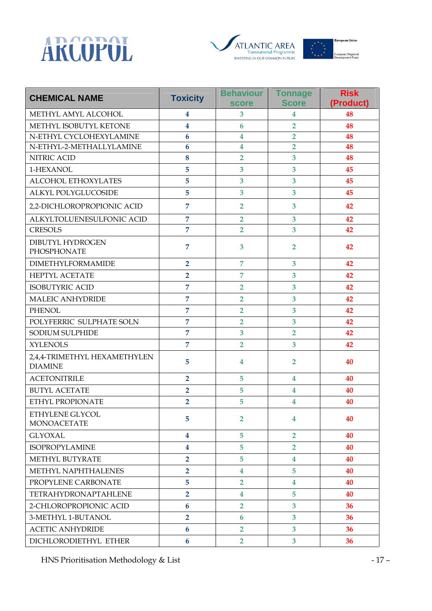





| <b>CHEMICAL NAME</b>                           | <b>Toxicity</b>         | <b>Behaviour</b><br><b>score</b> | <b>Tonnage</b><br><b>Score</b> | <b>Risk</b><br>(Product) |
|------------------------------------------------|-------------------------|----------------------------------|--------------------------------|--------------------------|
| METHYL AMYL ALCOHOL                            | 4                       | 3                                | 4                              | 48                       |
| METHYL ISOBUTYL KETONE                         | $\overline{\mathbf{4}}$ | 6                                | $\overline{2}$                 | 48                       |
| N-ETHYL CYCLOHEXYLAMINE                        | 6                       | $\overline{\mathbf{4}}$          | $\overline{2}$                 | 48                       |
| N-ETHYL-2-METHALLYLAMINE                       | 6                       | 4                                | $\overline{2}$                 | 48                       |
| NITRIC ACID                                    | 8                       | $\overline{2}$                   | $\overline{\mathbf{3}}$        | 48                       |
| 1-HEXANOL                                      | 5                       | 3                                | 3                              | 45                       |
| <b>ALCOHOL ETHOXYLATES</b>                     | 5                       | 3                                | 3                              | 45                       |
| ALKYL POLYGLUCOSIDE                            | 5                       | 3                                | 3                              | 45                       |
| 2,2-DICHLOROPROPIONIC ACID                     | $\overline{7}$          | $\overline{2}$                   | 3                              | 42                       |
| ALKYLTOLUENESULFONIC ACID                      | $\overline{7}$          | $\overline{2}$                   | 3                              | 42                       |
| <b>CRESOLS</b>                                 | $\overline{7}$          | $\overline{2}$                   | $\overline{\mathbf{3}}$        | 42                       |
| DIBUTYL HYDROGEN<br>PHOSPHONATE                | $\overline{7}$          | 3                                | $\overline{2}$                 | 42                       |
| <b>DIMETHYLFORMAMIDE</b>                       | $\overline{2}$          | $\overline{7}$                   | 3                              | 42                       |
| <b>HEPTYL ACETATE</b>                          | $\overline{2}$          | $\overline{7}$                   | 3                              | 42                       |
| <b>ISOBUTYRIC ACID</b>                         | $\overline{7}$          | $\overline{2}$                   | 3                              | 42                       |
| <b>MALEIC ANHYDRIDE</b>                        | $\overline{7}$          | $\overline{2}$                   | 3                              | 42                       |
| <b>PHENOL</b>                                  | $\overline{7}$          | $\overline{2}$                   | 3                              | 42                       |
| POLYFERRIC SULPHATE SOLN                       | $\overline{7}$          | $\overline{2}$                   | 3                              | 42                       |
| <b>SODIUM SULPHIDE</b>                         | $\overline{7}$          | 3                                | $\overline{2}$                 | 42                       |
| <b>XYLENOLS</b>                                | $\overline{7}$          | $\overline{2}$                   | $\overline{\mathbf{3}}$        | 42                       |
| 2,4,4-TRIMETHYL HEXAMETHYLEN<br><b>DIAMINE</b> | 5                       | 4                                | $\overline{2}$                 | 40                       |
| <b>ACETONITRILE</b>                            | $\overline{2}$          | 5                                | $\overline{\mathbf{4}}$        | 40                       |
| <b>BUTYL ACETATE</b>                           | $\overline{2}$          | 5                                | $\overline{\mathbf{4}}$        | 40                       |
| ETHYL PROPIONATE                               | $\overline{2}$          | 5                                | 4                              | 40                       |
| ETHYLENE GLYCOL<br><b>MONOACETATE</b>          | 5                       | $\overline{2}$                   | 4                              | 40                       |
| <b>GLYOXAL</b>                                 | 4                       | 5                                | $\overline{2}$                 | 40                       |
| <b>ISOPROPYLAMINE</b>                          | 4                       | 5                                | $\overline{2}$                 | 40                       |
| <b>METHYL BUTYRATE</b>                         | $\overline{2}$          | 5                                | $\overline{4}$                 | 40                       |
| METHYL NAPHTHALENES                            | $\overline{2}$          | $\overline{4}$                   | 5                              | 40                       |
| PROPYLENE CARBONATE                            | 5                       | $\overline{2}$                   | 4                              | 40                       |
| <b>TETRAHYDRONAPTAHLENE</b>                    | $\overline{2}$          | $\overline{\mathbf{4}}$          | 5                              | 40                       |
| 2-CHLOROPROPIONIC ACID                         | $6\phantom{1}$          | $\overline{2}$                   | $\overline{3}$                 | 36                       |
| 3-METHYL 1-BUTANOL                             | $\overline{2}$          | 6                                | 3                              | 36                       |
| <b>ACETIC ANHYDRIDE</b>                        | 6                       | $\overline{2}$                   | $\overline{3}$                 | 36                       |
| DICHLORODIETHYL ETHER                          | $\boldsymbol{6}$        | $\overline{2}$                   | 3 <sup>5</sup>                 | 36                       |

HNS Prioritisation Methodology & List - 17 -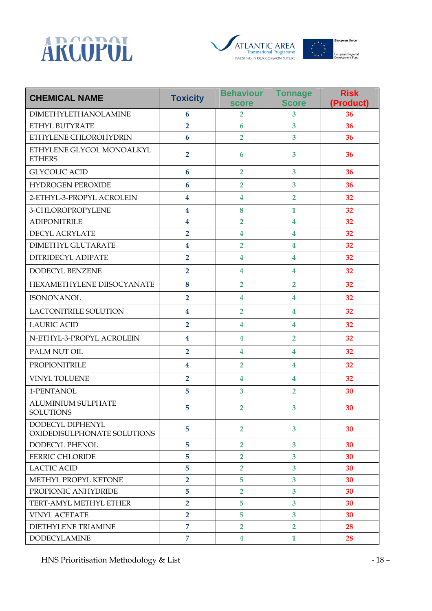





| <b>CHEMICAL NAME</b>                            | <b>Toxicity</b>         | <b>Behaviour</b><br><b>score</b> | <b>Tonnage</b><br><b>Score</b> | <b>Risk</b><br>(Product) |
|-------------------------------------------------|-------------------------|----------------------------------|--------------------------------|--------------------------|
| <b>DIMETHYLETHANOLAMINE</b>                     | 6                       | 2                                | 3                              | 36                       |
| ETHYL BUTYRATE                                  | $\overline{\mathbf{2}}$ | 6                                | $\overline{\mathbf{3}}$        | 36                       |
| ETHYLENE CHLOROHYDRIN                           | $6\phantom{1}6$         | $\overline{2}$                   | $\overline{\mathbf{3}}$        | 36                       |
| ETHYLENE GLYCOL MONOALKYL<br><b>ETHERS</b>      | $\overline{2}$          | 6                                | 3                              | 36                       |
| <b>GLYCOLIC ACID</b>                            | $6\phantom{1}6$         | $\overline{2}$                   | $\overline{\mathbf{3}}$        | 36                       |
| <b>HYDROGEN PEROXIDE</b>                        | $6\phantom{1}6$         | $\overline{2}$                   | 3                              | 36                       |
| 2-ETHYL-3-PROPYL ACROLEIN                       | $\overline{\mathbf{4}}$ | $\overline{\mathbf{4}}$          | $\overline{2}$                 | 32                       |
| 3-CHLOROPROPYLENE                               | $\overline{\mathbf{4}}$ | 8                                | $\mathbf{1}$                   | 32                       |
| <b>ADIPONITRILE</b>                             | $\overline{\mathbf{4}}$ | $\overline{2}$                   | $\overline{\mathbf{4}}$        | 32                       |
| DECYL ACRYLATE                                  | $\overline{2}$          | $\overline{\mathbf{4}}$          | $\overline{\mathbf{4}}$        | 32                       |
| <b>DIMETHYL GLUTARATE</b>                       | $\overline{\mathbf{4}}$ | $\overline{2}$                   | $\overline{\mathbf{4}}$        | 32                       |
| DITRIDECYL ADIPATE                              | $\overline{2}$          | $\overline{\mathbf{4}}$          | $\overline{\mathbf{4}}$        | 32                       |
| DODECYL BENZENE                                 | $\overline{2}$          | $\overline{\mathbf{4}}$          | $\overline{4}$                 | 32                       |
| HEXAMETHYLENE DIISOCYANATE                      | 8                       | $\overline{2}$                   | $\overline{2}$                 | 32                       |
| <b>ISONONANOL</b>                               | $\overline{2}$          | 4                                | $\overline{\mathbf{4}}$        | 32                       |
| LACTONITRILE SOLUTION                           | $\overline{\mathbf{4}}$ | $\overline{2}$                   | $\overline{\mathbf{4}}$        | 32                       |
| <b>LAURIC ACID</b>                              | $\overline{2}$          | $\overline{\mathbf{4}}$          | $\overline{\mathbf{4}}$        | 32                       |
| N-ETHYL-3-PROPYL ACROLEIN                       | $\overline{\mathbf{4}}$ | $\overline{\mathbf{4}}$          | $\overline{2}$                 | 32                       |
| PALM NUT OIL                                    | $\overline{2}$          | $\overline{\mathbf{4}}$          | $\overline{\mathbf{4}}$        | 32                       |
| PROPIONITRILE                                   | $\overline{\mathbf{4}}$ | $\overline{2}$                   | $\overline{\mathbf{4}}$        | 32                       |
| VINYL TOLUENE                                   | $\overline{2}$          | $\overline{\mathbf{4}}$          | $\overline{\mathbf{4}}$        | 32                       |
| 1-PENTANOL                                      | 5                       | 3                                | $\overline{2}$                 | 30                       |
| <b>ALUMINIUM SULPHATE</b><br><b>SOLUTIONS</b>   | 5                       | 2                                | 3                              | 30                       |
| DODECYL DIPHENYL<br>OXIDEDISULPHONATE SOLUTIONS | 5                       | $\overline{2}$                   | 3                              | 30                       |
| DODECYL PHENOL                                  | 5                       | $\overline{2}$                   | 3                              | 30                       |
| <b>FERRIC CHLORIDE</b>                          | 5                       | $\overline{2}$                   | $\overline{3}$                 | 30                       |
| <b>LACTIC ACID</b>                              | 5                       | $\overline{2}$                   | $\overline{3}$                 | 30                       |
| METHYL PROPYL KETONE                            | $\overline{2}$          | 5                                | 3                              | 30                       |
| PROPIONIC ANHYDRIDE                             | 5                       | $\overline{2}$                   | $\overline{3}$                 | 30                       |
| TERT-AMYL METHYL ETHER                          | $\overline{2}$          | 5                                | $\overline{3}$                 | 30                       |
| <b>VINYL ACETATE</b>                            | $\overline{2}$          | 5                                | 3                              | 30                       |
| <b>DIETHYLENE TRIAMINE</b>                      | $\overline{7}$          | $\overline{2}$                   | $\overline{2}$                 | 28                       |
| <b>DODECYLAMINE</b>                             | 7                       | 4                                | $\mathbf{1}$                   | 28                       |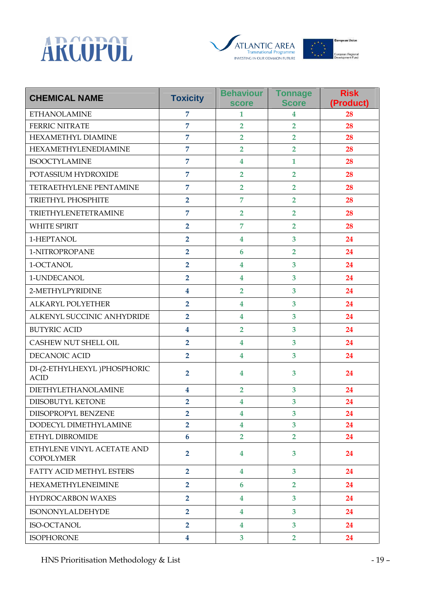





| <b>CHEMICAL NAME</b>                           | <b>Toxicity</b>         | <b>Behaviour</b><br><b>score</b> | <b>Tonnage</b><br><b>Score</b> | <b>Risk</b><br>(Product) |
|------------------------------------------------|-------------------------|----------------------------------|--------------------------------|--------------------------|
| <b>ETHANOLAMINE</b>                            | $\overline{7}$          | $\mathbf{1}$                     | 4                              | 28                       |
| <b>FERRIC NITRATE</b>                          | $\overline{7}$          | $\overline{2}$                   | $\overline{2}$                 | 28                       |
| HEXAMETHYL DIAMINE                             | $\overline{7}$          | $\overline{2}$                   | $\overline{2}$                 | 28                       |
| HEXAMETHYLENEDIAMINE                           | $\overline{7}$          | $\overline{2}$                   | $\overline{2}$                 | 28                       |
| <b>ISOOCTYLAMINE</b>                           | $\overline{7}$          | $\overline{\mathbf{4}}$          | $\mathbf{1}$                   | 28                       |
| POTASSIUM HYDROXIDE                            | $\overline{7}$          | $\overline{2}$                   | $\overline{2}$                 | 28                       |
| TETRAETHYLENE PENTAMINE                        | $\overline{7}$          | $\overline{2}$                   | $\overline{2}$                 | 28                       |
| TRIETHYL PHOSPHITE                             | $\overline{2}$          | $\overline{7}$                   | $\overline{2}$                 | 28                       |
| TRIETHYLENETETRAMINE                           | $\overline{7}$          | $\overline{2}$                   | $\overline{2}$                 | 28                       |
| <b>WHITE SPIRIT</b>                            | $\overline{2}$          | $\overline{7}$                   | $\overline{2}$                 | 28                       |
| 1-HEPTANOL                                     | $\overline{2}$          | $\overline{\mathbf{4}}$          | $\overline{3}$                 | 24                       |
| 1-NITROPROPANE                                 | $\overline{2}$          | $6\phantom{1}6$                  | $\overline{2}$                 | 24                       |
| 1-OCTANOL                                      | $\overline{2}$          | 4                                | $\overline{\mathbf{3}}$        | 24                       |
| 1-UNDECANOL                                    | $\overline{2}$          | $\overline{\mathbf{4}}$          | $\overline{\mathbf{3}}$        | 24                       |
| 2-METHYLPYRIDINE                               | $\overline{\mathbf{4}}$ | $\overline{2}$                   | $\overline{3}$                 | 24                       |
| ALKARYL POLYETHER                              | $\overline{2}$          | $\overline{\mathbf{4}}$          | $\overline{\mathbf{3}}$        | 24                       |
| ALKENYL SUCCINIC ANHYDRIDE                     | $\overline{2}$          | 4                                | $\overline{\mathbf{3}}$        | 24                       |
| <b>BUTYRIC ACID</b>                            | $\overline{\mathbf{4}}$ | $\overline{2}$                   | 3                              | 24                       |
| CASHEW NUT SHELL OIL                           | $\overline{2}$          | $\overline{\mathbf{4}}$          | $\overline{3}$                 | 24                       |
| DECANOIC ACID                                  | $\overline{2}$          | $\overline{\mathbf{4}}$          | $\overline{\mathbf{3}}$        | 24                       |
| DI-(2-ETHYLHEXYL) PHOSPHORIC<br><b>ACID</b>    | $\overline{2}$          | 4                                | 3                              | 24                       |
| DIETHYLETHANOLAMINE                            | $\overline{\mathbf{4}}$ | $\overline{2}$                   | 3                              | 24                       |
| DIISOBUTYL KETONE                              | $\overline{2}$          | $\overline{\mathbf{4}}$          | 3                              | 24                       |
| DIISOPROPYL BENZENE                            | $\overline{2}$          | $\overline{\mathbf{4}}$          | 3                              | 24                       |
| DODECYL DIMETHYLAMINE                          | $\overline{2}$          | $\overline{\mathbf{4}}$          | $\overline{\mathbf{3}}$        | 24                       |
| ETHYL DIBROMIDE                                | $6\phantom{a}$          | $\overline{2}$                   | $\overline{2}$                 | 24                       |
| ETHYLENE VINYL ACETATE AND<br><b>COPOLYMER</b> | $\overline{2}$          | 4                                | 3                              | 24                       |
| FATTY ACID METHYL ESTERS                       | $\overline{2}$          | 4                                | 3 <sup>5</sup>                 | 24                       |
| <b>HEXAMETHYLENEIMINE</b>                      | $\overline{2}$          | 6                                | $\overline{2}$                 | 24                       |
| <b>HYDROCARBON WAXES</b>                       | $\overline{2}$          | $\overline{\mathbf{4}}$          | 3                              | 24                       |
| ISONONYLALDEHYDE                               | $\overline{2}$          | 4                                | 3                              | 24                       |
| ISO-OCTANOL                                    | $\overline{2}$          | $\overline{\mathbf{4}}$          | 3 <sup>5</sup>                 | 24                       |
| <b>ISOPHORONE</b>                              | $\overline{\mathbf{4}}$ | 3                                | $\overline{2}$                 | 24                       |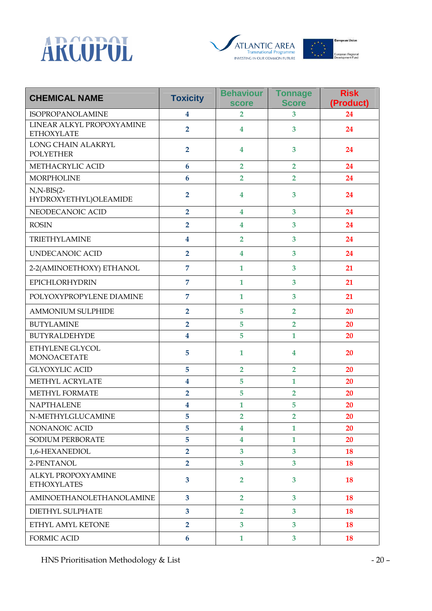





| <b>CHEMICAL NAME</b>                            | <b>Toxicity</b>         | <b>Behaviour</b><br><b>score</b> | <b>Tonnage</b><br><b>Score</b> | <b>Risk</b><br>(Product) |
|-------------------------------------------------|-------------------------|----------------------------------|--------------------------------|--------------------------|
| <b>ISOPROPANOLAMINE</b>                         | $\overline{\mathbf{4}}$ | $\overline{2}$                   | 3                              | 24                       |
| LINEAR ALKYL PROPOXYAMINE<br><b>ETHOXYLATE</b>  | $\overline{2}$          | $\overline{4}$                   | 3                              | 24                       |
| LONG CHAIN ALAKRYL<br><b>POLYETHER</b>          | $\overline{2}$          | $\overline{4}$                   | 3                              | 24                       |
| METHACRYLIC ACID                                | 6                       | $\overline{2}$                   | $\overline{2}$                 | 24                       |
| <b>MORPHOLINE</b>                               | 6                       | $\overline{2}$                   | $\overline{2}$                 | 24                       |
| $N,N-BIS(2-$<br>HYDROXYETHYL)OLEAMIDE           | $\overline{2}$          | 4                                | 3                              | 24                       |
| NEODECANOIC ACID                                | $\overline{2}$          | $\overline{4}$                   | 3                              | 24                       |
| <b>ROSIN</b>                                    | $\overline{2}$          | $\overline{\mathbf{4}}$          | 3                              | 24                       |
| TRIETHYLAMINE                                   | $\boldsymbol{4}$        | $\overline{2}$                   | 3                              | 24                       |
| <b>UNDECANOIC ACID</b>                          | $\overline{2}$          | $\overline{\mathbf{4}}$          | 3                              | 24                       |
| 2-2(AMINOETHOXY) ETHANOL                        | $\overline{7}$          | $\mathbf{1}$                     | 3                              | 21                       |
| <b>EPICHLORHYDRIN</b>                           | 7                       | $\mathbf{1}$                     | 3                              | 21                       |
| POLYOXYPROPYLENE DIAMINE                        | $\overline{7}$          | $\mathbf{1}$                     | 3                              | 21                       |
| <b>AMMONIUM SULPHIDE</b>                        | $\overline{2}$          | 5                                | $\overline{2}$                 | 20                       |
| <b>BUTYLAMINE</b>                               | $\overline{2}$          | 5                                | $\overline{2}$                 | 20                       |
| <b>BUTYRALDEHYDE</b>                            | $\overline{\mathbf{4}}$ | 5                                | $\mathbf{1}$                   | 20                       |
| ETHYLENE GLYCOL<br><b>MONOACETATE</b>           | 5                       | $\mathbf{1}$                     | 4                              | 20                       |
| <b>GLYOXYLIC ACID</b>                           | 5                       | $\overline{2}$                   | $\overline{2}$                 | 20                       |
| METHYL ACRYLATE                                 | $\overline{\mathbf{4}}$ | 5                                | $\mathbf{1}$                   | 20                       |
| METHYL FORMATE                                  | $\overline{2}$          | 5                                | $\overline{2}$                 | 20                       |
| <b>NAPTHALENE</b>                               | $\overline{\mathbf{4}}$ | $\mathbf{1}$                     | 5                              | 20                       |
| N-METHYLGLUCAMINE                               | 5                       | $\overline{2}$                   | $\overline{2}$                 | 20                       |
| NONANOIC ACID                                   | 5                       | 4                                | $\mathbf{1}$                   | 20                       |
| <b>SODIUM PERBORATE</b>                         | 5                       | $\overline{\mathbf{4}}$          | $\mathbf{1}$                   | 20                       |
| 1,6-HEXANEDIOL                                  | $\overline{2}$          | 3                                | 3                              | 18                       |
| 2-PENTANOL                                      | $\overline{2}$          | 3                                | $\overline{3}$                 | 18                       |
| <b>ALKYL PROPOXYAMINE</b><br><b>ETHOXYLATES</b> | 3                       | $\overline{2}$                   | 3                              | 18                       |
| <b>AMINOETHANOLETHANOLAMINE</b>                 | $\overline{\mathbf{3}}$ | $\overline{2}$                   | $\mathbf{3}$                   | 18                       |
| DIETHYL SULPHATE                                | $\overline{3}$          | $\overline{2}$                   | 3                              | 18                       |
| ETHYL AMYL KETONE                               | $\overline{2}$          | 3                                | 3                              | 18                       |
| <b>FORMIC ACID</b>                              | $6\phantom{1}$          | $\mathbf{1}$                     | $\overline{\mathbf{3}}$        | 18                       |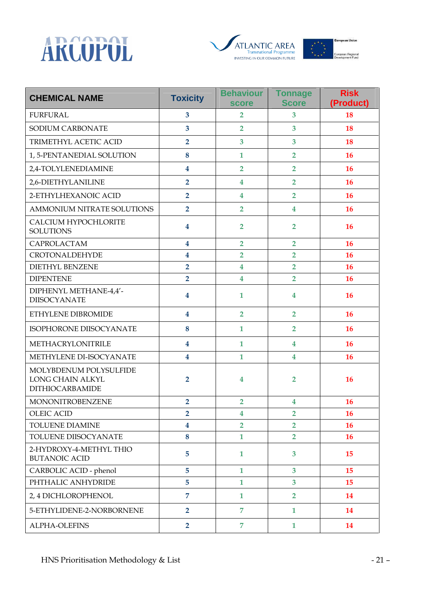





| <b>CHEMICAL NAME</b>                                                        | <b>Toxicity</b>         | <b>Behaviour</b><br><b>score</b> | <b>Tonnage</b><br><b>Score</b> | <b>Risk</b><br>(Product) |
|-----------------------------------------------------------------------------|-------------------------|----------------------------------|--------------------------------|--------------------------|
| <b>FURFURAL</b>                                                             | 3                       | $\overline{2}$                   | $\overline{\mathbf{3}}$        | 18                       |
| SODIUM CARBONATE                                                            | $\overline{3}$          | $\overline{2}$                   | $\overline{3}$                 | 18                       |
| TRIMETHYL ACETIC ACID                                                       | $\overline{2}$          | 3                                | $\overline{\mathbf{3}}$        | 18                       |
| 1, 5-PENTANEDIAL SOLUTION                                                   | 8                       | $\mathbf{1}$                     | $\overline{2}$                 | 16                       |
| 2,4-TOLYLENEDIAMINE                                                         | $\overline{\mathbf{4}}$ | $\overline{2}$                   | $\overline{2}$                 | 16                       |
| 2,6-DIETHYLANILINE                                                          | $\overline{2}$          | $\overline{\mathbf{4}}$          | $\overline{2}$                 | 16                       |
| 2-ETHYLHEXANOIC ACID                                                        | $\overline{2}$          | $\overline{\mathbf{4}}$          | $\overline{2}$                 | 16                       |
| AMMONIUM NITRATE SOLUTIONS                                                  | $\overline{2}$          | $\overline{2}$                   | $\overline{\mathbf{4}}$        | 16                       |
| CALCIUM HYPOCHLORITE<br><b>SOLUTIONS</b>                                    | $\overline{\mathbf{4}}$ | $\overline{2}$                   | $\overline{2}$                 | 16                       |
| CAPROLACTAM                                                                 | $\overline{\mathbf{4}}$ | $\overline{2}$                   | $\overline{2}$                 | 16                       |
| <b>CROTONALDEHYDE</b>                                                       | $\overline{\mathbf{4}}$ | $\overline{2}$                   | $\overline{2}$                 | 16                       |
| <b>DIETHYL BENZENE</b>                                                      | $\overline{2}$          | $\overline{\mathbf{4}}$          | $\overline{2}$                 | 16                       |
| <b>DIPENTENE</b>                                                            | $\overline{2}$          | $\boldsymbol{4}$                 | $\overline{2}$                 | <b>16</b>                |
| DIPHENYL METHANE-4,4'-<br><b>DIISOCYANATE</b>                               | $\boldsymbol{4}$        | $\mathbf{1}$                     | $\boldsymbol{4}$               | 16                       |
| ETHYLENE DIBROMIDE                                                          | $\boldsymbol{4}$        | $\overline{2}$                   | $\overline{2}$                 | 16                       |
| ISOPHORONE DIISOCYANATE                                                     | 8                       | $\mathbf{1}$                     | $\overline{2}$                 | 16                       |
| METHACRYLONITRILE                                                           | 4                       | $\mathbf{1}$                     | 4                              | 16                       |
| METHYLENE DI-ISOCYANATE                                                     | $\overline{\mathbf{4}}$ | $\mathbf{1}$                     | $\overline{\mathbf{4}}$        | 16                       |
| MOLYBDENUM POLYSULFIDE<br><b>LONG CHAIN ALKYL</b><br><b>DITHIOCARBAMIDE</b> | $\overline{2}$          | $\boldsymbol{4}$                 | 2                              | 16                       |
| <b>MONONITROBENZENE</b>                                                     | $\overline{2}$          | $\overline{2}$                   | $\overline{\mathbf{4}}$        | 16                       |
| <b>OLEIC ACID</b>                                                           | 2                       | 4                                | 2                              | 16                       |
| <b>TOLUENE DIAMINE</b>                                                      | 4                       | $\overline{2}$                   | $\overline{2}$                 | 16                       |
| TOLUENE DIISOCYANATE                                                        | 8                       | $\mathbf{1}$                     | $\overline{2}$                 | 16                       |
| 2-HYDROXY-4-METHYL THIO<br><b>BUTANOIC ACID</b>                             | 5                       | $\mathbf{1}$                     | 3                              | 15                       |
| CARBOLIC ACID - phenol                                                      | $5\phantom{.}$          | $\mathbf{1}$                     | $\overline{\mathbf{3}}$        | 15                       |
| PHTHALIC ANHYDRIDE                                                          | 5                       | $\mathbf{1}$                     | $\overline{3}$                 | 15                       |
| 2, 4 DICHLOROPHENOL                                                         | $\overline{7}$          | $\mathbf{1}$                     | $\overline{2}$                 | 14                       |
| 5-ETHYLIDENE-2-NORBORNENE                                                   | $\overline{2}$          | $\overline{7}$                   | $\mathbf{1}$                   | 14                       |
| <b>ALPHA-OLEFINS</b>                                                        | $\overline{2}$          | $\overline{7}$                   | $\mathbf{1}$                   | 14                       |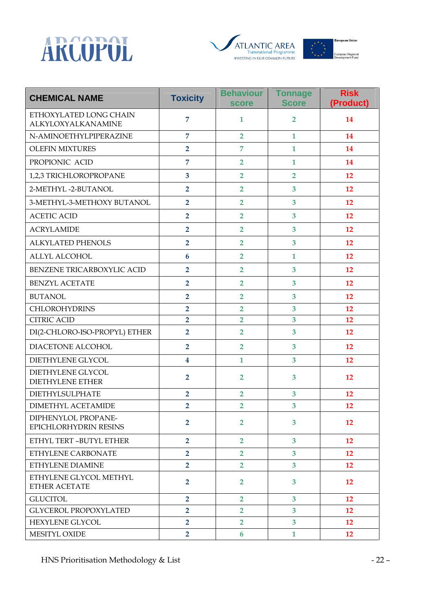





| <b>CHEMICAL NAME</b>                                | <b>Toxicity</b>         | <b>Behaviour</b><br><b>score</b> | <b>Tonnage</b><br><b>Score</b> | <b>Risk</b><br>(Product) |
|-----------------------------------------------------|-------------------------|----------------------------------|--------------------------------|--------------------------|
| ETHOXYLATED LONG CHAIN<br>ALKYLOXYALKANAMINE        | 7                       | 1                                | 2                              | 14                       |
| N-AMINOETHYLPIPERAZINE                              | $\overline{7}$          | $\overline{2}$                   | $\mathbf{1}$                   | 14                       |
| <b>OLEFIN MIXTURES</b>                              | $\overline{2}$          | $\overline{7}$                   | $\mathbf{1}$                   | 14                       |
| PROPIONIC ACID                                      | $\overline{7}$          | $\overline{2}$                   | $\mathbf{1}$                   | 14                       |
| 1,2,3 TRICHLOROPROPANE                              | 3                       | $\overline{2}$                   | $\overline{2}$                 | 12                       |
| 2-METHYL-2-BUTANOL                                  | $\overline{2}$          | $\overline{2}$                   | 3                              | 12                       |
| 3-METHYL-3-METHOXY BUTANOL                          | $\overline{2}$          | $\overline{2}$                   | $\overline{\mathbf{3}}$        | 12                       |
| <b>ACETIC ACID</b>                                  | $\overline{2}$          | $\overline{2}$                   | 3                              | 12                       |
| <b>ACRYLAMIDE</b>                                   | $\overline{2}$          | $\overline{2}$                   | 3                              | 12                       |
| <b>ALKYLATED PHENOLS</b>                            | $\overline{2}$          | $\overline{2}$                   | 3                              | 12                       |
| <b>ALLYL ALCOHOL</b>                                | 6                       | $\overline{2}$                   | $\mathbf{1}$                   | 12                       |
| BENZENE TRICARBOXYLIC ACID                          | $\overline{2}$          | $\overline{2}$                   | 3                              | 12                       |
| <b>BENZYL ACETATE</b>                               | $\overline{2}$          | $\overline{2}$                   | $\overline{\mathbf{3}}$        | 12                       |
| <b>BUTANOL</b>                                      | $\overline{2}$          | $\overline{2}$                   | $\overline{\mathbf{3}}$        | 12                       |
| <b>CHLOROHYDRINS</b>                                | $\overline{2}$          | $\overline{2}$                   | $\overline{\mathbf{3}}$        | 12                       |
| <b>CITRIC ACID</b>                                  | $\overline{2}$          | $\overline{2}$                   | 3                              | 12                       |
| DI(2-CHLORO-ISO-PROPYL) ETHER                       | $\overline{2}$          | $\overline{2}$                   | 3                              | 12                       |
| DIACETONE ALCOHOL                                   | $\overline{2}$          | $\overline{2}$                   | 3                              | 12                       |
| DIETHYLENE GLYCOL                                   | $\overline{\mathbf{4}}$ | $\mathbf{1}$                     | 3                              | 12                       |
| <b>DIETHYLENE GLYCOL</b><br><b>DIETHYLENE ETHER</b> | $\overline{2}$          | $\overline{2}$                   | 3                              | 12                       |
| <b>DIETHYLSULPHATE</b>                              | $\overline{2}$          | $\overline{2}$                   | 3                              | 12                       |
| <b>DIMETHYL ACETAMIDE</b>                           | $\overline{2}$          | $\overline{2}$                   | 3                              | 12                       |
| DIPHENYLOL PROPANE-<br>EPICHLORHYDRIN RESINS        | $\overline{2}$          | $\overline{2}$                   | 3                              | 12                       |
| ETHYL TERT -BUTYL ETHER                             | $\overline{2}$          | $\overline{2}$                   | 3                              | 12                       |
| ETHYLENE CARBONATE                                  | $\overline{2}$          | $\overline{2}$                   | $\overline{3}$                 | 12                       |
| ETHYLENE DIAMINE                                    | $\overline{2}$          | $\overline{2}$                   | $\overline{3}$                 | 12                       |
| ETHYLENE GLYCOL METHYL<br><b>ETHER ACETATE</b>      | $\overline{2}$          | $\overline{2}$                   | 3                              | 12                       |
| <b>GLUCITOL</b>                                     | $\overline{2}$          | $\overline{2}$                   | $\overline{3}$                 | 12                       |
| <b>GLYCEROL PROPOXYLATED</b>                        | $\overline{2}$          | $\overline{2}$                   | 3                              | 12                       |
| <b>HEXYLENE GLYCOL</b>                              | $\overline{2}$          | $\overline{2}$                   | 3 <sup>5</sup>                 | <b>12</b>                |
| <b>MESITYL OXIDE</b>                                | $\overline{2}$          | 6                                | $\mathbf{1}$                   | 12                       |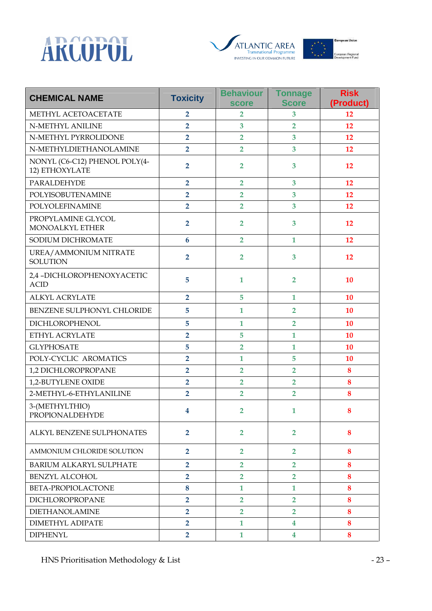





| <b>CHEMICAL NAME</b>                            | <b>Toxicity</b> | <b>Behaviour</b><br><b>score</b> | <b>Tonnage</b><br><b>Score</b> | <b>Risk</b><br>(Product) |
|-------------------------------------------------|-----------------|----------------------------------|--------------------------------|--------------------------|
| METHYL ACETOACETATE                             | $\overline{2}$  | $\overline{2}$                   | 3                              | 12                       |
| <b>N-METHYL ANILINE</b>                         | $\overline{2}$  | 3                                | $\overline{2}$                 | 12                       |
| N-METHYL PYRROLIDONE                            | $\overline{2}$  | $\overline{2}$                   | 3                              | 12                       |
| N-METHYLDIETHANOLAMINE                          | $\overline{2}$  | $\overline{2}$                   | 3                              | 12                       |
| NONYL (C6-C12) PHENOL POLY(4-<br>12) ETHOXYLATE | $\overline{2}$  | $\overline{2}$                   | 3                              | 12                       |
| PARALDEHYDE                                     | $\overline{2}$  | $\overline{2}$                   | 3                              | 12                       |
| POLYISOBUTENAMINE                               | $\overline{2}$  | $\overline{2}$                   | 3                              | 12                       |
| POLYOLEFINAMINE                                 | $\overline{2}$  | $\overline{2}$                   | 3                              | 12                       |
| PROPYLAMINE GLYCOL<br>MONOALKYL ETHER           | $\overline{2}$  | $\overline{2}$                   | 3                              | 12                       |
| SODIUM DICHROMATE                               | $6\phantom{1}6$ | $\overline{2}$                   | $\mathbf{1}$                   | 12                       |
| UREA/AMMONIUM NITRATE<br><b>SOLUTION</b>        | $\overline{2}$  | $\overline{2}$                   | 3                              | 12                       |
| 2,4 - DICHLOROPHENOXY ACETIC<br><b>ACID</b>     | 5               | $\mathbf{1}$                     | $\overline{2}$                 | 10                       |
| <b>ALKYL ACRYLATE</b>                           | $\overline{2}$  | 5                                | $\mathbf{1}$                   | 10                       |
| BENZENE SULPHONYL CHLORIDE                      | 5               | $\mathbf{1}$                     | $\overline{2}$                 | 10                       |
| <b>DICHLOROPHENOL</b>                           | 5               | $\mathbf{1}$                     | $\overline{2}$                 | 10                       |
| ETHYL ACRYLATE                                  | $\overline{2}$  | 5                                | $\mathbf{1}$                   | 10                       |
| <b>GLYPHOSATE</b>                               | 5               | $\overline{2}$                   | $\mathbf{1}$                   | 10                       |
| POLY-CYCLIC AROMATICS                           | $\overline{2}$  | $\mathbf{1}$                     | 5                              | 10                       |
| 1,2 DICHLOROPROPANE                             | $\overline{2}$  | $\overline{2}$                   | $\overline{2}$                 | 8                        |
| 1,2-BUTYLENE OXIDE                              | $\overline{2}$  | $\overline{2}$                   | $\overline{2}$                 | 8                        |
| 2-METHYL-6-ETHYLANILINE                         | $\overline{2}$  | $\overline{2}$                   | $\overline{2}$                 | 8                        |
| 3-(METHYLTHIO)<br>PROPIONALDEHYDE               | 4               | $\overline{2}$                   | 1                              | 8                        |
| ALKYL BENZENE SULPHONATES                       | $\overline{2}$  | $\overline{2}$                   | $\overline{2}$                 | 8                        |
| AMMONIUM CHLORIDE SOLUTION                      | $\overline{2}$  | $\overline{2}$                   | $\overline{2}$                 | 8                        |
| BARIUM ALKARYL SULPHATE                         | $\overline{2}$  | $\overline{2}$                   | $\overline{2}$                 | 8                        |
| <b>BENZYL ALCOHOL</b>                           | $\overline{2}$  | $\overline{2}$                   | $\overline{2}$                 | 8                        |
| BETA-PROPIOLACTONE                              | 8               | $\mathbf{1}$                     | 1                              | 8                        |
| DICHLOROPROPANE                                 | $\overline{2}$  | $\overline{2}$                   | $\overline{2}$                 | 8                        |
| <b>DIETHANOLAMINE</b>                           | $\overline{2}$  | $\overline{2}$                   | $\overline{2}$                 | 8                        |
| DIMETHYL ADIPATE                                | $\overline{2}$  | $\mathbf{1}$                     | 4                              | 8                        |
| <b>DIPHENYL</b>                                 | $\overline{2}$  | $\mathbf{1}$                     | $\overline{\mathbf{4}}$        | 8                        |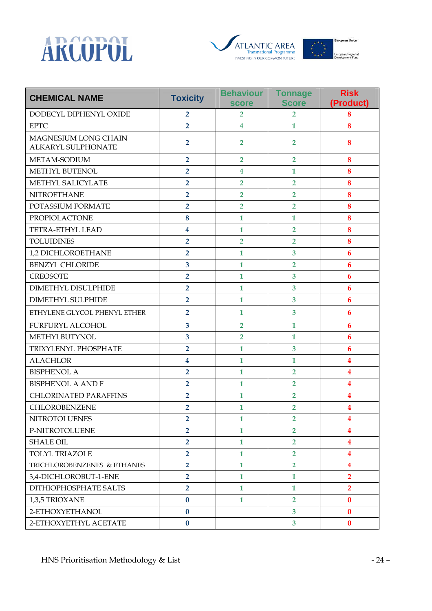





| <b>CHEMICAL NAME</b>                                     | <b>Toxicity</b>         | <b>Behaviour</b><br><b>score</b> | <b>Tonnage</b><br><b>Score</b> | <b>Risk</b><br>(Product) |
|----------------------------------------------------------|-------------------------|----------------------------------|--------------------------------|--------------------------|
| DODECYL DIPHENYL OXIDE                                   | $\overline{2}$          | $\overline{2}$                   | $\overline{2}$                 | 8                        |
| <b>EPTC</b>                                              | $\overline{2}$          | $\overline{\mathbf{4}}$          | $\mathbf{1}$                   | 8                        |
| <b>MAGNESIUM LONG CHAIN</b><br><b>ALKARYL SULPHONATE</b> | $\overline{2}$          | $\overline{2}$                   | $\overline{2}$                 | 8                        |
| METAM-SODIUM                                             | $\overline{2}$          | $\overline{2}$                   | $\overline{2}$                 | 8                        |
| METHYL BUTENOL                                           | $\overline{2}$          | $\overline{\mathbf{4}}$          | $\mathbf{1}$                   | 8                        |
| METHYL SALICYLATE                                        | $\overline{2}$          | $\overline{2}$                   | $\overline{2}$                 | 8                        |
| <b>NITROETHANE</b>                                       | $\overline{2}$          | $\overline{2}$                   | $\overline{2}$                 | 8                        |
| POTASSIUM FORMATE                                        | $\overline{2}$          | $\overline{2}$                   | $\overline{2}$                 | 8                        |
| PROPIOLACTONE                                            | 8                       | $\mathbf{1}$                     | $\mathbf{1}$                   | 8                        |
| <b>TETRA-ETHYL LEAD</b>                                  | $\overline{\mathbf{4}}$ | $\mathbf{1}$                     | $\overline{2}$                 | 8                        |
| <b>TOLUIDINES</b>                                        | $\overline{2}$          | $\overline{2}$                   | $\overline{2}$                 | 8                        |
| 1,2 DICHLOROETHANE                                       | $\overline{2}$          | $\mathbf{1}$                     | 3                              | $\boldsymbol{6}$         |
| <b>BENZYL CHLORIDE</b>                                   | $\overline{\mathbf{3}}$ | $\mathbf{1}$                     | $\overline{2}$                 | 6                        |
| <b>CREOSOTE</b>                                          | $\overline{2}$          | $\mathbf{1}$                     | 3                              | $\boldsymbol{6}$         |
| <b>DIMETHYL DISULPHIDE</b>                               | $\overline{2}$          | $\mathbf{1}$                     | 3                              | $6\phantom{1}6$          |
| <b>DIMETHYL SULPHIDE</b>                                 | $\overline{2}$          | $\mathbf{1}$                     | $\overline{\mathbf{3}}$        | $6\phantom{1}6$          |
| ETHYLENE GLYCOL PHENYL ETHER                             | $\overline{2}$          | $\mathbf{1}$                     | $\overline{\mathbf{3}}$        | 6                        |
| FURFURYL ALCOHOL                                         | $\overline{\mathbf{3}}$ | $\overline{2}$                   | 1                              | 6                        |
| METHYLBUTYNOL                                            | 3                       | $\overline{2}$                   | $\mathbf{1}$                   | $\boldsymbol{6}$         |
| TRIXYLENYL PHOSPHATE                                     | $\overline{2}$          | $\mathbf{1}$                     | $\overline{\mathbf{3}}$        | 6                        |
| <b>ALACHLOR</b>                                          | $\overline{\mathbf{4}}$ | $\mathbf{1}$                     | $\mathbf{1}$                   | $\overline{\mathbf{4}}$  |
| <b>BISPHENOL A</b>                                       | $\overline{2}$          | $\mathbf{1}$                     | $\overline{2}$                 | $\overline{\mathbf{4}}$  |
| <b>BISPHENOL A AND F</b>                                 | $\overline{2}$          | $\mathbf{1}$                     | $\overline{2}$                 | 4                        |
| <b>CHLORINATED PARAFFINS</b>                             | $\overline{2}$          | $\mathbf{1}$                     | $\overline{2}$                 | 4                        |
| CHLOROBENZENE                                            | $\overline{2}$          | $\mathbf{1}$                     | $\overline{2}$                 | $\overline{\mathbf{4}}$  |
| <b>NITROTOLUENES</b>                                     | $\overline{2}$          | $\mathbf{1}$                     | $\overline{2}$                 | $\overline{\mathbf{4}}$  |
| P-NITROTOLUENE                                           | $\overline{2}$          | $\mathbf{1}$                     | $\overline{2}$                 | $\overline{\mathbf{4}}$  |
| <b>SHALE OIL</b>                                         | $\overline{2}$          | $\mathbf{1}$                     | $\overline{2}$                 | $\overline{\mathbf{4}}$  |
| <b>TOLYL TRIAZOLE</b>                                    | $\overline{2}$          | $\mathbf{1}$                     | $\overline{2}$                 | $\overline{\mathbf{4}}$  |
| TRICHLOROBENZENES & ETHANES                              | $\overline{2}$          | $\mathbf{1}$                     | $\overline{2}$                 | $\overline{\mathbf{4}}$  |
| 3,4-DICHLOROBUT-1-ENE                                    | $\overline{2}$          | $\mathbf{1}$                     | $\mathbf{1}$                   | $\overline{2}$           |
| DITHIOPHOSPHATE SALTS                                    | $\overline{2}$          | $\mathbf{1}$                     | 1                              | $\overline{2}$           |
| 1,3,5 TRIOXANE                                           | $\bf{0}$                | $\mathbf{1}$                     | $\overline{2}$                 | $\bf{0}$                 |
| 2-ETHOXYETHANOL                                          | $\bf{0}$                |                                  | $\overline{3}$                 | $\bf{0}$                 |
| 2-ETHOXYETHYL ACETATE                                    | $\bf{0}$                |                                  | $\overline{3}$                 | $\bf{0}$                 |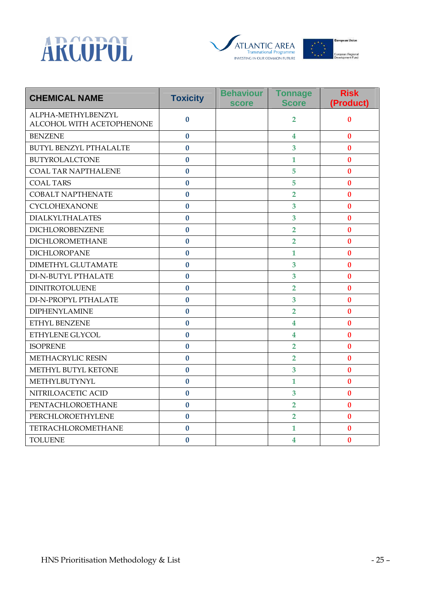





| <b>CHEMICAL NAME</b>                            | <b>Toxicity</b> | <b>Behaviour</b><br><b>score</b> | <b>Tonnage</b><br><b>Score</b> | <b>Risk</b><br>(Product) |
|-------------------------------------------------|-----------------|----------------------------------|--------------------------------|--------------------------|
| ALPHA-METHYLBENZYL<br>ALCOHOL WITH ACETOPHENONE | $\bf{0}$        |                                  | $\overline{2}$                 | $\bf{0}$                 |
| <b>BENZENE</b>                                  | $\mathbf{0}$    |                                  | $\overline{\mathbf{4}}$        | $\bf{0}$                 |
| <b>BUTYL BENZYL PTHALALTE</b>                   | $\bf{0}$        |                                  | $\overline{3}$                 | $\bf{0}$                 |
| <b>BUTYROLALCTONE</b>                           | $\bf{0}$        |                                  | $\mathbf{1}$                   | $\bf{0}$                 |
| <b>COAL TAR NAPTHALENE</b>                      | $\bf{0}$        |                                  | 5                              | $\bf{0}$                 |
| <b>COAL TARS</b>                                | $\bf{0}$        |                                  | 5                              | $\bf{0}$                 |
| <b>COBALT NAPTHENATE</b>                        | $\bf{0}$        |                                  | $\overline{2}$                 | $\bf{0}$                 |
| <b>CYCLOHEXANONE</b>                            | $\bf{0}$        |                                  | 3                              | $\bf{0}$                 |
| <b>DIALKYLTHALATES</b>                          | $\mathbf{0}$    |                                  | 3                              | $\bf{0}$                 |
| DICHLOROBENZENE                                 | $\bf{0}$        |                                  | $\overline{2}$                 | $\bf{0}$                 |
| <b>DICHLOROMETHANE</b>                          | $\bf{0}$        |                                  | $\overline{2}$                 | $\bf{0}$                 |
| <b>DICHLOROPANE</b>                             | $\bf{0}$        |                                  | $\mathbf{1}$                   | $\bf{0}$                 |
| <b>DIMETHYL GLUTAMATE</b>                       | $\bf{0}$        |                                  | 3                              | $\bf{0}$                 |
| DI-N-BUTYL PTHALATE                             | $\bf{0}$        |                                  | 3                              | $\bf{0}$                 |
| <b>DINITROTOLUENE</b>                           | $\bf{0}$        |                                  | $\overline{2}$                 | $\bf{0}$                 |
| DI-N-PROPYL PTHALATE                            | $\mathbf{0}$    |                                  | 3                              | $\bf{0}$                 |
| <b>DIPHENYLAMINE</b>                            | $\bf{0}$        |                                  | $\overline{2}$                 | $\bf{0}$                 |
| ETHYL BENZENE                                   | $\bf{0}$        |                                  | 4                              | $\bf{0}$                 |
| ETHYLENE GLYCOL                                 | $\bf{0}$        |                                  | 4                              | $\bf{0}$                 |
| <b>ISOPRENE</b>                                 | $\bf{0}$        |                                  | $\overline{2}$                 | $\bf{0}$                 |
| <b>METHACRYLIC RESIN</b>                        | $\bf{0}$        |                                  | $\overline{2}$                 | $\bf{0}$                 |
| METHYL BUTYL KETONE                             | $\bf{0}$        |                                  | 3                              | $\bf{0}$                 |
| METHYLBUTYNYL                                   | $\bf{0}$        |                                  | $\mathbf{1}$                   | $\bf{0}$                 |
| NITRILOACETIC ACID                              | $\bf{0}$        |                                  | 3                              | $\bf{0}$                 |
| PENTACHLOROETHANE                               | $\bf{0}$        |                                  | $\overline{2}$                 | $\bf{0}$                 |
| PERCHLOROETHYLENE                               | $\bf{0}$        |                                  | $\overline{2}$                 | $\bf{0}$                 |
| TETRACHLOROMETHANE                              | $\bf{0}$        |                                  | $\mathbf{1}$                   | $\bf{0}$                 |
| <b>TOLUENE</b>                                  | $\bf{0}$        |                                  | $\overline{\mathbf{4}}$        | $\bf{0}$                 |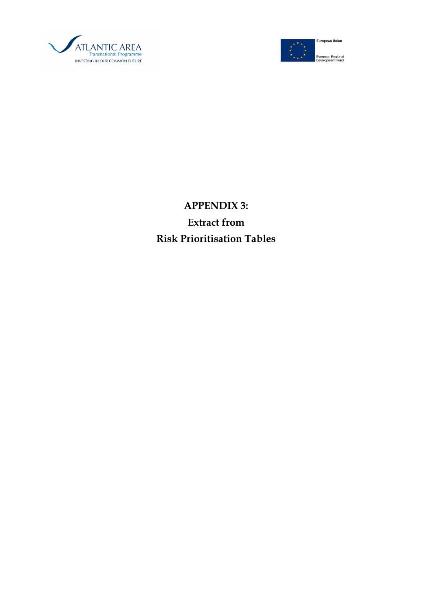



# APPENDIX 3: Extract from Risk Prioritisation Tables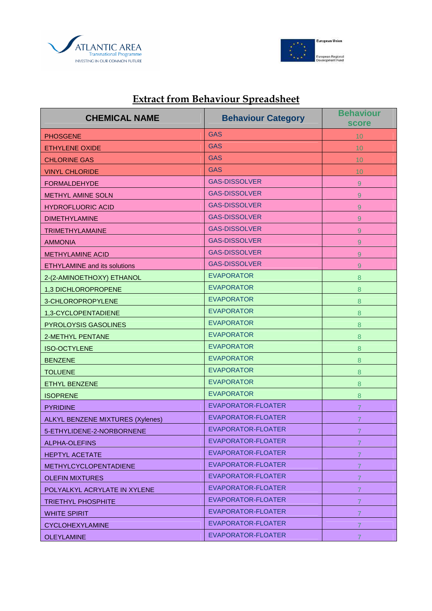



# Extract from Behaviour Spreadsheet

| <b>CHEMICAL NAME</b>                | <b>Behaviour Category</b> | <b>Behaviour</b><br><b>score</b> |
|-------------------------------------|---------------------------|----------------------------------|
| <b>PHOSGENE</b>                     | <b>GAS</b>                | 10 <sup>°</sup>                  |
| <b>ETHYLENE OXIDE</b>               | <b>GAS</b>                | 10                               |
| <b>CHLORINE GAS</b>                 | <b>GAS</b>                | 10                               |
| <b>VINYL CHLORIDE</b>               | <b>GAS</b>                | 10                               |
| <b>FORMALDEHYDE</b>                 | <b>GAS-DISSOLVER</b>      | 9                                |
| <b>METHYL AMINE SOLN</b>            | <b>GAS-DISSOLVER</b>      | 9                                |
| <b>HYDROFLUORIC ACID</b>            | <b>GAS-DISSOLVER</b>      | 9                                |
| <b>DIMETHYLAMINE</b>                | <b>GAS-DISSOLVER</b>      | 9                                |
| <b>TRIMETHYLAMAINE</b>              | <b>GAS-DISSOLVER</b>      | 9                                |
| <b>AMMONIA</b>                      | <b>GAS-DISSOLVER</b>      | 9                                |
| <b>METHYLAMINE ACID</b>             | <b>GAS-DISSOLVER</b>      | 9                                |
| <b>ETHYLAMINE and its solutions</b> | <b>GAS-DISSOLVER</b>      | 9                                |
| 2-(2-AMINOETHOXY) ETHANOL           | <b>EVAPORATOR</b>         | 8                                |
| 1,3 DICHLOROPROPENE                 | <b>EVAPORATOR</b>         | 8                                |
| 3-CHLOROPROPYLENE                   | <b>EVAPORATOR</b>         | 8                                |
| 1,3-CYCLOPENTADIENE                 | <b>EVAPORATOR</b>         | 8                                |
| PYROLOYSIS GASOLINES                | <b>EVAPORATOR</b>         | 8                                |
| 2-METHYL PENTANE                    | <b>EVAPORATOR</b>         | 8                                |
| <b>ISO-OCTYLENE</b>                 | <b>EVAPORATOR</b>         | 8                                |
| <b>BENZENE</b>                      | <b>EVAPORATOR</b>         | $\boldsymbol{8}$                 |
| <b>TOLUENE</b>                      | <b>EVAPORATOR</b>         | $\boldsymbol{8}$                 |
| <b>ETHYL BENZENE</b>                | <b>EVAPORATOR</b>         | $\boldsymbol{8}$                 |
| <b>ISOPRENE</b>                     | <b>EVAPORATOR</b>         | 8                                |
| <b>PYRIDINE</b>                     | EVAPORATOR-FLOATER        | 7                                |
| ALKYL BENZENE MIXTURES (Xylenes)    | EVAPORATOR-FLOATER        | 7                                |
| 5-ETHYLIDENE-2-NORBORNENE           | <b>EVAPORATOR-FLOATER</b> | $\overline{7}$                   |
| ALPHA-OLEFINS                       | EVAPORATOR-FLOATER        | $\mathbf{7}$                     |
| <b>HEPTYL ACETATE</b>               | EVAPORATOR-FLOATER        | $\overline{7}$                   |
| <b>METHYLCYCLOPENTADIENE</b>        | EVAPORATOR-FLOATER        | $\mathbf{7}$                     |
| <b>OLEFIN MIXTURES</b>              | EVAPORATOR-FLOATER        | $\overline{7}$                   |
| POLYALKYL ACRYLATE IN XYLENE        | EVAPORATOR-FLOATER        | $\overline{7}$                   |
| <b>TRIETHYL PHOSPHITE</b>           | EVAPORATOR-FLOATER        | $\mathbf{7}$                     |
| <b>WHITE SPIRIT</b>                 | EVAPORATOR-FLOATER        | $\overline{7}$                   |
| <b>CYCLOHEXYLAMINE</b>              | EVAPORATOR-FLOATER        | $\overline{7}$                   |
| <b>OLEYLAMINE</b>                   | EVAPORATOR-FLOATER        | $\mathbf{7}$                     |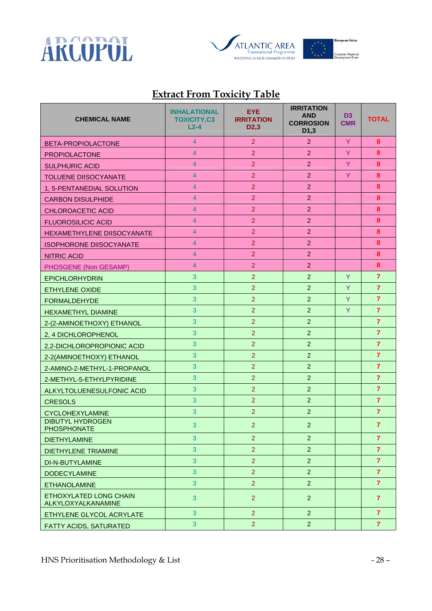



## Extract From Toxicity Table

| <b>CHEMICAL NAME</b>                         | <b>INHALATIONAL</b><br><b>TOXICITY,C3</b><br>$L2-4$ | EYE.<br><b>IRRITATION</b><br>D <sub>2</sub> ,3 | <b>IRRITATION</b><br><b>AND</b><br><b>CORROSION</b><br>D <sub>1</sub> ,3 | D <sub>3</sub><br><b>CMR</b> | <b>TOTAL</b>   |
|----------------------------------------------|-----------------------------------------------------|------------------------------------------------|--------------------------------------------------------------------------|------------------------------|----------------|
| BETA-PROPIOLACTONE                           | $\overline{4}$                                      | $\overline{2}$                                 | $\overline{2}$                                                           | Y                            | 8              |
| <b>PROPIOLACTONE</b>                         | $\overline{4}$                                      | $\overline{2}$                                 | $\overline{2}$                                                           | Y                            | 8              |
| <b>SULPHURIC ACID</b>                        | $\overline{4}$                                      | $\overline{2}$                                 | $\overline{2}$                                                           | Y                            | 8              |
| <b>TOLUENE DIISOCYANATE</b>                  | 4                                                   | $\overline{2}$                                 | $\overline{2}$                                                           | Y                            | 8              |
| 1, 5-PENTANEDIAL SOLUTION                    | $\overline{4}$                                      | $\overline{2}$                                 | 2                                                                        |                              | 8              |
| <b>CARBON DISULPHIDE</b>                     | $\overline{4}$                                      | $\overline{2}$                                 | $\overline{2}$                                                           |                              | 8              |
| <b>CHLOROACETIC ACID</b>                     | $\overline{4}$                                      | $\overline{2}$                                 | $\overline{2}$                                                           |                              | 8              |
| <b>FLUOROSILICIC ACID</b>                    | $\overline{4}$                                      | $\overline{2}$                                 | $\overline{2}$                                                           |                              | 8              |
| HEXAMETHYLENE DIISOCYANATE                   | $\overline{4}$                                      | $\overline{2}$                                 | $\overline{2}$                                                           |                              | 8              |
| <b>ISOPHORONE DIISOCYANATE</b>               | $\overline{4}$                                      | $\overline{2}$                                 | $\overline{2}$                                                           |                              | 8              |
| <b>NITRIC ACID</b>                           | 4                                                   | $\overline{2}$                                 | $\overline{2}$                                                           |                              | 8              |
| PHOSGENE (Non GESAMP)                        | $\overline{4}$                                      | $\overline{2}$                                 | 2                                                                        |                              | 8              |
| <b>EPICHLORHYDRIN</b>                        | 3                                                   | $\overline{2}$                                 | $\overline{2}$                                                           | Y                            | $\overline{7}$ |
| <b>ETHYLENE OXIDE</b>                        | 3                                                   | $\overline{2}$                                 | $\overline{2}$                                                           | Y                            | $\overline{7}$ |
| <b>FORMALDEHYDE</b>                          | 3                                                   | $\overline{2}$                                 | $\overline{2}$                                                           | Y                            | $\overline{7}$ |
| <b>HEXAMETHYL DIAMINE</b>                    | 3                                                   | $\overline{2}$                                 | $\overline{2}$                                                           | Y                            | $\overline{7}$ |
| 2-(2-AMINOETHOXY) ETHANOL                    | 3                                                   | $\overline{2}$                                 | $\overline{2}$                                                           |                              | $\overline{7}$ |
| 2, 4 DICHLOROPHENOL                          | 3                                                   | $\overline{2}$                                 | $\overline{2}$                                                           |                              | $\overline{7}$ |
| 2,2-DICHLOROPROPIONIC ACID                   | 3                                                   | $\overline{2}$                                 | $\overline{2}$                                                           |                              | $\overline{7}$ |
| 2-2(AMINOETHOXY) ETHANOL                     | 3                                                   | $\overline{2}$                                 | $\overline{2}$                                                           |                              | $\overline{7}$ |
| 2-AMINO-2-METHYL-1-PROPANOL                  | 3                                                   | $\overline{2}$                                 | $\overline{2}$                                                           |                              | $\overline{7}$ |
| 2-METHYL-5-ETHYLPYRIDINE                     | 3                                                   | $\overline{2}$                                 | $\overline{2}$                                                           |                              | $\overline{7}$ |
| ALKYLTOLUENESULFONIC ACID                    | 3                                                   | $\overline{2}$                                 | 2                                                                        |                              | $\overline{7}$ |
| <b>CRESOLS</b>                               | 3                                                   | $\overline{2}$                                 | $\overline{2}$                                                           |                              | $\overline{7}$ |
| <b>CYCLOHEXYLAMINE</b>                       | 3                                                   | $\overline{2}$                                 | $\overline{2}$                                                           |                              | $\overline{7}$ |
| <b>DIBUTYL HYDROGEN</b><br>PHOSPHONATE       | 3                                                   | $\overline{2}$                                 | $\overline{2}$                                                           |                              | $\overline{7}$ |
| <b>DIETHYLAMINE</b>                          | 3                                                   | $\overline{2}$                                 | $\overline{2}$                                                           |                              | $\overline{7}$ |
| <b>DIETHYLENE TRIAMINE</b>                   | 3                                                   | $\overline{2}$                                 | $\overline{2}$                                                           |                              | $\overline{7}$ |
| DI-N-BUTYLAMINE                              | 3                                                   | $\overline{2}$                                 | $\overline{2}$                                                           |                              | $\overline{7}$ |
| <b>DODECYLAMINE</b>                          | 3                                                   | $\overline{2}$                                 | $\overline{2}$                                                           |                              | $\overline{7}$ |
| <b>ETHANOLAMINE</b>                          | 3                                                   | $\overline{2}$                                 | $\overline{2}$                                                           |                              | $\overline{7}$ |
| ETHOXYLATED LONG CHAIN<br>ALKYLOXYALKANAMINE | 3                                                   | 2 <sup>1</sup>                                 | $\overline{2}$                                                           |                              | $\overline{7}$ |
| ETHYLENE GLYCOL ACRYLATE                     | 3                                                   | $\overline{2}$                                 | $\overline{2}$                                                           |                              | $\overline{7}$ |
| FATTY ACIDS, SATURATED                       | $\mathbf{3}$                                        | $\overline{2}$                                 | $\overline{2}$                                                           |                              | $\overline{7}$ |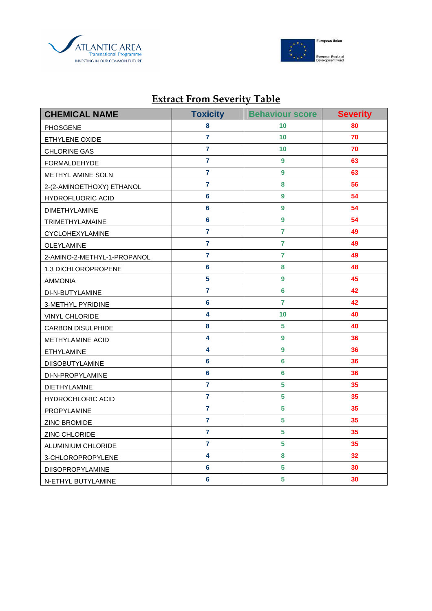



## **CHEMICAL NAME Toxicity Behaviour score Severity** PHOSGENE **8** 10 10 80 **ETHYLENE OXIDE**  7 10 10 7 7 7 10 **CHLORINE GAS 7** 7 10 10 7 7 10 FORMALDEHYDE **7** 7 9 9 63 METHYL AMINE SOLN **7** 7 9 9 63 2-(2-AMINOETHOXY) ETHANOL **7 8 56**  HYDROFLUORIC ACID **6 6** 9 **54** DIMETHYLAMINE **6 9 54**  TRIMETHYLAMAINE **6** 6 9 **54** CYCLOHEXYLAMINE **7 7 49**  OLEYLAMINE **7 7 49**  2-AMINO-2-METHYL-1-PROPANOL **7 7 49**  1,3 DICHLOROPROPENE **6 8 48**  AMMONIA **5 9 45**  DI-N-BUTYLAMINE **7 6 42**  3-METHYL PYRIDINE **6 7 42**  VINYL CHLORIDE **4** 10 10 40 CARBON DISULPHIDE **8 8** 5 **40** METHYLAMINE ACID **4** 4 9 36 ETHYLAMINE **4 9 36**  DIISOBUTYLAMINE **6** 6 6 36 DI-N-PROPYLAMINE **6** 6 6 36 DIETHYLAMINE **7 5 35**  HYDROCHLORIC ACID **7** 7 5 35 PROPYLAMINE **7** 7 5 35 ZINC BROMIDE **7 5 35**  ZINC CHLORIDE **7 5 35**  ALUMINIUM CHLORIDE **7** 7 5 35 3-CHLOROPROPYLENE **4 8 32** DIISOPROPYLAMINE **6** 6 5 30 N-ETHYL BUTYLAMINE **6** 5 30

### Extract From Severity Table